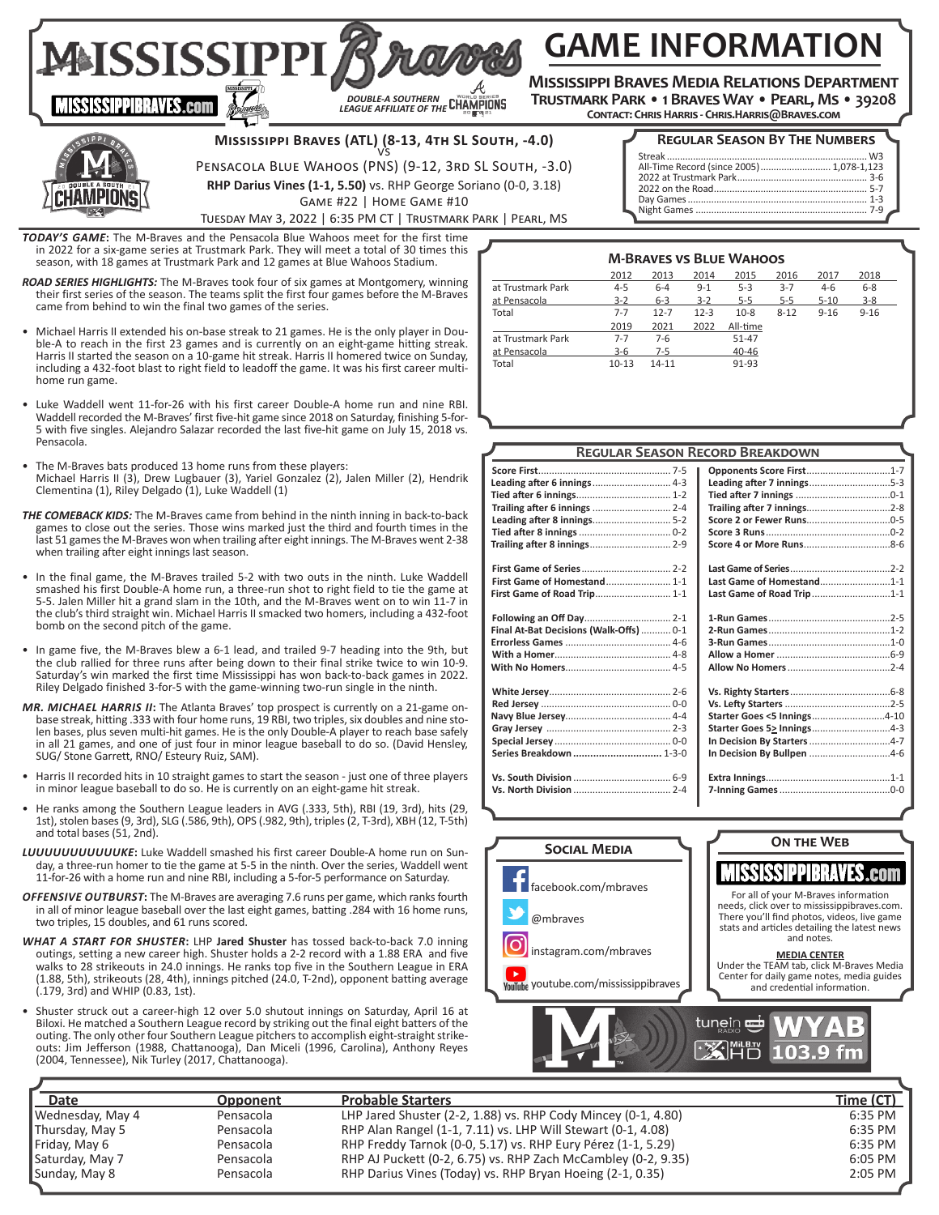# **GAME INFORMATION**

**Mississippi Braves Media Relations Department Trustmark Park • 1 Braves Way • Pearl, Ms • 39208**

**Contact: Chris Harris - Chris.Harris@Braves.com** 



**IISSISSIPPIBRAVES.com** 

# **Mississippi Braves (ATL) (8-13, 4th SL South, -4.0)**  vs

*DOUBLE-A SOUTHERN LEAGUE AFFILIATE OF THE*

Pensacola Blue Wahoos (PNS) (9-12, 3rd SL South, -3.0)

**RHP Darius Vines (1-1, 5.50)** vs. RHP George Soriano (0-0, 3.18)

Game #22 | Home Game #10

**Regular Season By The Numbers**

| All-Time Record (since 2005)  1,078-1,123 |  |
|-------------------------------------------|--|
|                                           |  |
|                                           |  |
|                                           |  |
|                                           |  |

Tuesday May 3, 2022 | 6:35 PM CT | Trustmark Park | Pearl, MS

*TODAY'S GAME***:** The M-Braves and the Pensacola Blue Wahoos meet for the first time in 2022 for a six-game series at Trustmark Park. They will meet a total of 30 times this season, with 18 games at Trustmark Park and 12 games at Blue Wahoos Stadium.

MAISSISSIPPI,

*ROAD SERIES HIGHLIGHTS:* The M-Braves took four of six games at Montgomery, winning their first series of the season. The teams split the first four games before the M-Braves came from behind to win the final two games of the series.

- Michael Harris II extended his on-base streak to 21 games. He is the only player in Double-A to reach in the first 23 games and is currently on an eight-game hitting streak. Harris II started the season on a 10-game hit streak. Harris II homered twice on Sunday, including a 432-foot blast to right field to leadoff the game. It was his first career multihome run game.
- Luke Waddell went 11-for-26 with his first career Double-A home run and nine RBI. Waddell recorded the M-Braves' first five-hit game since 2018 on Saturday, finishing 5-for-5 with five singles. Alejandro Salazar recorded the last five-hit game on July 15, 2018 vs. Pensacola.
- The M-Braves bats produced 13 home runs from these players: Michael Harris II (3), Drew Lugbauer (3), Yariel Gonzalez (2), Jalen Miller (2), Hendrik Clementina (1), Riley Delgado (1), Luke Waddell (1)
- *THE COMEBACK KIDS:* The M-Braves came from behind in the ninth inning in back-to-back games to close out the series. Those wins marked just the third and fourth times in the last 51 games the M-Braves won when trailing after eight innings. The M-Braves went 2-38 when trailing after eight innings last season.
- In the final game, the M-Braves trailed 5-2 with two outs in the ninth. Luke Waddell smashed his first Double-A home run, a three-run shot to right field to tie the game at 5-5. Jalen Miller hit a grand slam in the 10th, and the M-Braves went on to win 11-7 in the club's third straight win. Michael Harris II smacked two homers, including a 432-foot bomb on the second pitch of the game.
- In game five, the M-Braves blew a 6-1 lead, and trailed 9-7 heading into the 9th, but the club rallied for three runs after being down to their final strike twice to win 10-9. Saturday's win marked the first time Mississippi has won back-to-back games in 2022. Riley Delgado finished 3-for-5 with the game-winning two-run single in the ninth.
- *MR. MICHAEL HARRIS II***:** The Atlanta Braves' top prospect is currently on a 21-game onbase streak, hitting .333 with four home runs, 19 RBI, two triples, six doubles and nine stolen bases, plus seven multi-hit games. He is the only Double-A player to reach base safely in all 21 games, and one of just four in minor league baseball to do so. (David Hensley, SUG/ Stone Garrett, RNO/ Esteury Ruiz, SAM).
- Harris II recorded hits in 10 straight games to start the season just one of three players in minor league baseball to do so. He is currently on an eight-game hit streak.
- He ranks among the Southern League leaders in AVG (.333, 5th), RBI (19, 3rd), hits (29, 1st), stolen bases (9, 3rd), SLG (.586, 9th), OPS (.982, 9th), triples (2, T-3rd), XBH (12, T-5th) and total bases (51, 2nd).
- *LUUUUUUUUUUUKE***:** Luke Waddell smashed his first career Double-A home run on Sunday, a three-run homer to tie the game at 5-5 in the ninth. Over the series, Waddell went 11-for-26 with a home run and nine RBI, including a 5-for-5 performance on Saturday.
- *OFFENSIVE OUTBURST***:** The M-Braves are averaging 7.6 runs per game, which ranks fourth in all of minor league baseball over the last eight games, batting .284 with 16 home runs, two triples, 15 doubles, and 61 runs scored.
- *WHAT A START FOR SHUSTER***:** LHP **Jared Shuster** has tossed back-to-back 7.0 inning outings, setting a new career high. Shuster holds a 2-2 record with a 1.88 ERA and five walks to 28 strikeouts in 24.0 innings. He ranks top five in the Southern League in ERA (1.88, 5th), strikeouts (28, 4th), innings pitched (24.0, T-2nd), opponent batting average (.179, 3rd) and WHIP (0.83, 1st).
- Shuster struck out a career-high 12 over 5.0 shutout innings on Saturday, April 16 at Biloxi. He matched a Southern League record by striking out the final eight batters of the outing. The only other four Southern League pitchers to accomplish eight-straight strikeouts: Jim Jefferson (1988, Chattanooga), Dan Miceli (1996, Carolina), Anthony Reyes (2004, Tennessee), Nik Turley (2017, Chattanooga).

|                                         | <b>REGULAR SEASON RECORD BREAKDOWN</b> |  |
|-----------------------------------------|----------------------------------------|--|
|                                         | Opponents Score First1-7               |  |
|                                         | Leading after 7 innings5-3             |  |
|                                         |                                        |  |
|                                         |                                        |  |
|                                         |                                        |  |
|                                         |                                        |  |
|                                         |                                        |  |
|                                         |                                        |  |
| First Game of Homestand 1-1             | Last Game of Homestand1-1              |  |
| First Game of Road Trip 1-1             | Last Game of Road Trip1-1              |  |
|                                         |                                        |  |
| Final At-Bat Decisions (Walk-Offs)  0-1 |                                        |  |
|                                         |                                        |  |
|                                         |                                        |  |
|                                         |                                        |  |
|                                         |                                        |  |
|                                         |                                        |  |
|                                         | Starter Goes <5 Innings4-10            |  |
|                                         |                                        |  |
|                                         |                                        |  |
| Series Breakdown  1-3-0                 | In Decision By Bullpen 4-6             |  |
|                                         |                                        |  |
|                                         |                                        |  |



| Date              | <b>Opponent</b> | <b>Probable Starters</b>                                      | <u>Time (CT)</u> |
|-------------------|-----------------|---------------------------------------------------------------|------------------|
| ∥Wednesday, May 4 | Pensacola       | LHP Jared Shuster (2-2, 1.88) vs. RHP Cody Mincey (0-1, 4.80) | 6:35 PM          |
| Thursday, May 5   | Pensacola       | RHP Alan Rangel (1-1, 7.11) vs. LHP Will Stewart (0-1, 4.08)  | 6:35 PM          |
| Friday, May 6     | Pensacola       | RHP Freddy Tarnok (0-0, 5.17) vs. RHP Eury Pérez (1-1, 5.29)  | 6:35 PM          |
| Saturday, May 7   | Pensacola       | RHP AJ Puckett (0-2, 6.75) vs. RHP Zach McCambley (0-2, 9.35) | $6:05$ PM        |
| Sunday, May 8     | Pensacola       | RHP Darius Vines (Today) vs. RHP Bryan Hoeing (2-1, 0.35)     | $2:05$ PM        |

## **M-Braves vs Blue Wahoos**

|                   | 2012      | 2013      | 2014     | 2015     | 2016     | 2017     | 2018     |
|-------------------|-----------|-----------|----------|----------|----------|----------|----------|
| at Trustmark Park | $4 - 5$   | $6 - 4$   | $9 - 1$  | $5-3$    | $3 - 7$  | $4-6$    | $6 - 8$  |
| at Pensacola      | $3 - 2$   | $6 - 3$   | $3 - 2$  | $5 - 5$  | $5 - 5$  | $5 - 10$ | $3 - 8$  |
| Total             | $7 - 7$   | $12 - 7$  | $12 - 3$ | $10-8$   | $8 - 12$ | $9 - 16$ | $9 - 16$ |
|                   | 2019      | 2021      | 2022     | All-time |          |          |          |
| at Trustmark Park | $7 - 7$   | $7-6$     |          | 51-47    |          |          |          |
| at Pensacola      | $3-6$     | $7-5$     |          | 40-46    |          |          |          |
| Total             | $10 - 13$ | $14 - 11$ |          | 91-93    |          |          |          |

|          | ------ | . <i>. .</i><br><b>凹凸 103.9 fm</b> |
|----------|--------|------------------------------------|
|          |        |                                    |
|          |        | <b>Time (CT</b>                    |
| ., 4.80) |        | 6:35 PM                            |
| .        |        |                                    |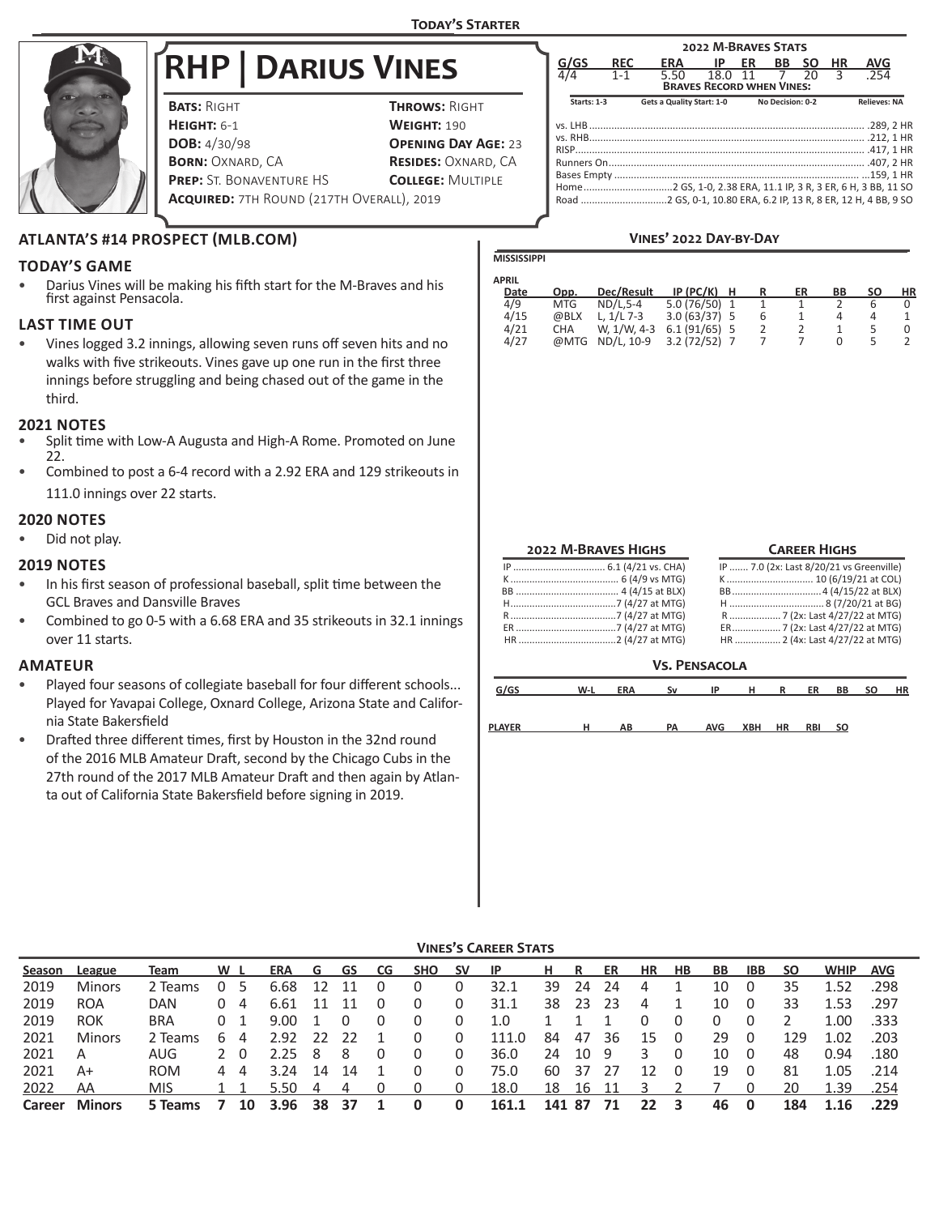**MISSISSIPPI**



# **RHP | Darius Vines**

| <b>BATS: RIGHT</b>                               | <b>THROWS: RIGHT</b>       |
|--------------------------------------------------|----------------------------|
| <b>HEIGHT: 6-1</b>                               | <b>WEIGHT: 190</b>         |
| <b>DOB:</b> 4/30/98                              | <b>OPENING DAY AGE: 23</b> |
| <b>BORN: OXNARD, CA</b>                          | <b>RESIDES: OXNARD, CA</b> |
| <b>PREP:</b> ST. BONAVENTURE HS                  | <b>COLLEGE: MULTIPLE</b>   |
| <b>ACQUIRED: 7TH ROUND (217TH OVERALL), 2019</b> |                            |

|               |             |            |                                                                          | <b>2022 M-BRAVES STATS</b> |    |                  |           |    |                     |  |
|---------------|-------------|------------|--------------------------------------------------------------------------|----------------------------|----|------------------|-----------|----|---------------------|--|
|               | G/GS        | <b>REC</b> | ERA                                                                      | - IP                       | ER | <b>BB</b>        | <b>SO</b> | HR | <b>AVG</b>          |  |
| $\frac{1}{4}$ |             | $1 - 1$    | 5.50<br><b>BRAVES RECORD WHEN VINES:</b>                                 | 18.0 11 7                  |    |                  | 20        | ς  | .254                |  |
|               | Starts: 1-3 |            | Gets a Quality Start: 1-0                                                |                            |    | No Decision: 0-2 |           |    | <b>Relieves: NA</b> |  |
|               |             |            |                                                                          |                            |    |                  |           |    |                     |  |
|               |             |            |                                                                          |                            |    |                  |           |    |                     |  |
|               |             |            |                                                                          |                            |    |                  |           |    |                     |  |
|               |             |            |                                                                          |                            |    |                  |           |    |                     |  |
|               |             |            |                                                                          |                            |    |                  |           |    |                     |  |
|               |             |            | Home……………………………2 GS. 1-0. 2.38 ERA. 11.1 IP. 3 R. 3 ER. 6 H. 3 BB. 11 SO |                            |    |                  |           |    |                     |  |
|               |             |            | Road 2 GS, 0-1, 10.80 ERA, 6.2 IP, 13 R, 8 ER, 12 H, 4 BB, 9 SO          |                            |    |                  |           |    |                     |  |

## **Vines' 2022 Day-by-Day**

## **ATLANTA'S #14 PROSPECT (MLB.COM)**

## **TODAY'S GAME**

• Darius Vines will be making his fifth start for the M-Braves and his first against Pensacola.

## **LAST TIME OUT**

• Vines logged 3.2 innings, allowing seven runs off seven hits and no walks with five strikeouts. Vines gave up one run in the first three innings before struggling and being chased out of the game in the third.

## **2021 NOTES**

- Split time with Low-A Augusta and High-A Rome. Promoted on June 22.
- Combined to post a 6-4 record with a 2.92 ERA and 129 strikeouts in 111.0 innings over 22 starts.

## **2020 NOTES**

• Did not play.

## **2019 NOTES**

- In his first season of professional baseball, split time between the GCL Braves and Dansville Braves
- Combined to go 0-5 with a 6.68 ERA and 35 strikeouts in 32.1 innings over 11 starts.

## **AMATEUR**

- Played four seasons of collegiate baseball for four different schools... Played for Yavapai College, Oxnard College, Arizona State and California State Bakersfield
- Drafted three different times, first by Houston in the 32nd round of the 2016 MLB Amateur Draft, second by the Chicago Cubs in the 27th round of the 2017 MLB Amateur Draft and then again by Atlanta out of California State Bakersfield before signing in 2019.

| <b>APRIL</b> |            |                 |                |   |   |    |    |    |    |
|--------------|------------|-----------------|----------------|---|---|----|----|----|----|
| Date         | Opp.       | Dec/Result      | IP (PC/K)      | н |   | ER | BВ | SΟ | ΗR |
| 4/9          | <b>MTG</b> | ND/L.5-4        | 5.0 (76/50) 1  |   |   |    |    | h  |    |
| 4/15         | @BLX       | L. $1/L$ 7-3    | $3.0(63/37)$ 5 |   | 6 |    |    | Δ  |    |
| 4/21         | CHA        | W. 1/W. 4-3     | $6.1(91/65)$ 5 |   |   |    |    |    |    |
| 4/27         |            | @MTG ND/L. 10-9 | $3.2(72/52)$ 7 |   |   |    |    |    |    |

| <b>2022 M-BRAVES HIGHS</b> |
|----------------------------|
|                            |
|                            |
|                            |
|                            |
|                            |
|                            |

HR ....................................2 (4/27 at MTG)

## **Career Highs**

## **Vs. Pensacola**

| G/GS   | $W-L$ | <b>ERA</b> | Sv | ΙP         | н   | R         | ER         | BB | <b>SO</b> | <b>HR</b> |
|--------|-------|------------|----|------------|-----|-----------|------------|----|-----------|-----------|
| PLAYER | н     | AВ         | PA | <b>AVG</b> | XBH | <b>HR</b> | <b>RBI</b> | so |           |           |

| <b>VINES'S CAREER STATS</b> |  |
|-----------------------------|--|
|                             |  |

| Season | League        | <b>Team</b> | W L            |    | ERA  | . G  | GS CG |   | SHO | <b>SV</b> | - IP  | н.  | R   | ER  | HR | <b>HB</b> | BB. | IBB. | <b>SO</b> | <b>WHIP</b> | <b>AVG</b> |
|--------|---------------|-------------|----------------|----|------|------|-------|---|-----|-----------|-------|-----|-----|-----|----|-----------|-----|------|-----------|-------------|------------|
| 2019   | <b>Minors</b> | 2 Teams     |                |    | 6.68 | 12   | 11    |   |     | 0         | 32.1  | 39  | 24  | 24  | 4  |           | 10  | 0    | 35        | 1.52        | .298       |
| 2019   | <b>ROA</b>    | DAN         | 0              | -4 | 6.61 | 11   | 11    | 0 |     | 0         | 31.1  | 38  | 23  | -23 | 4  |           | 10  | 0    | 33        | 1.53        | .297       |
| 2019   | <b>ROK</b>    | <b>BRA</b>  | 0 <sub>1</sub> |    | 9.00 |      | 0     | 0 |     |           | 1.0   |     |     |     |    |           |     |      |           | 1.00        | .333       |
| 2021   | <b>Minors</b> | 2 Teams     | b              | 4  | 2.92 | - 22 | -22   |   |     |           | 111.0 | 84  | 47  | 36  | 15 |           | 29  |      | 129       | 1.02        | .203       |
| 2021   | A             | AUG         | 2 0            |    | 2.25 | - 8  | 8     | 0 |     | 0         | 36.0  | 24  | 10  | 9   |    |           | 10  | 0    | 48        | 0.94        | .180       |
| 2021   | $A+$          | <b>ROM</b>  | 44             |    | 3.24 | 14   | 14    |   |     |           | 75.0  | 60  | 37  | 27  |    |           | 19  | 0    | 81        | 1.05        | .214       |
| 2022   | AA            | <b>MIS</b>  |                |    | 5.50 | 4    | 4     |   |     | 0         | 18.0  | 18  | 16  |     |    |           |     |      | 20        | 1.39        | .254       |
| Career | <b>Minors</b> | 5 Teams     |                | 10 | 3.96 | 38   | 37    |   |     | $\bf{0}$  | 161.1 | 141 | -87 | 71  | 22 |           | 46  | 0    | 184       |             | .229       |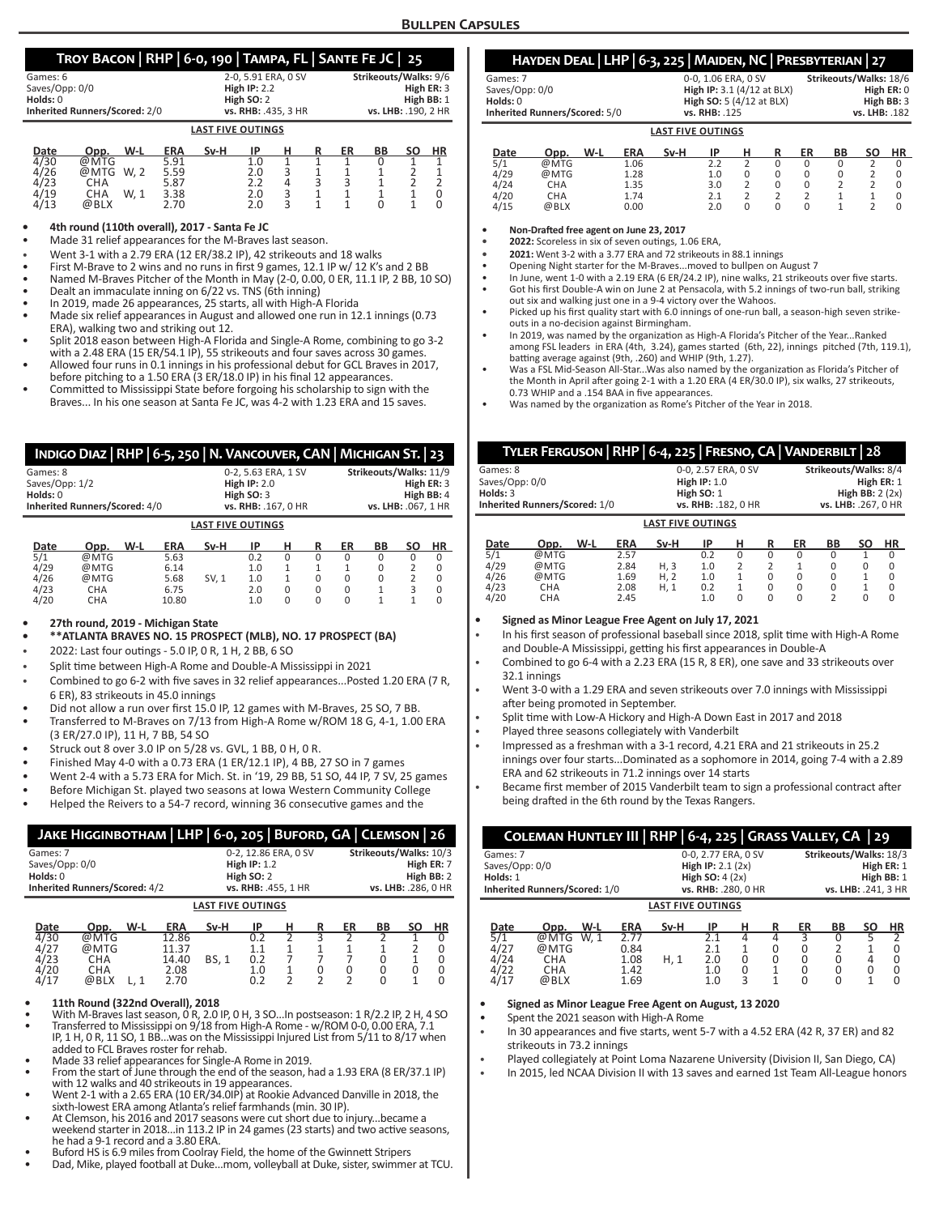## **Troy Bacon | RHP | 6-0, 190 | Tampa, FL | Sante Fe JC | 25**

|                                      | $\sim$ $\sim$ $\sim$<br>. . |                       |
|--------------------------------------|-----------------------------|-----------------------|
| Games: 6                             | 2-0.5.91 ERA. 0 SV          | Strikeouts/Walks: 9/6 |
| Saves/Opp: 0/0                       | High $IP: 2.2$              | High ER: 3            |
| $Holds: 0$                           | High SO: 2                  | High BB: 1            |
| <b>Inherited Runners/Scored: 2/0</b> | vs. RHB: .435. 3 HR         | vs. LHB: .190. 2 HR   |
|                                      | <b>LAST FIVE OUTINGS</b>    |                       |

| Date | Opp. | W-L  | ERA  | Sv-H | ΙP  |   | R | ER | BВ | SΟ | ΗR |
|------|------|------|------|------|-----|---|---|----|----|----|----|
| 4/30 | @MTG |      | 5.91 |      | 1.0 |   |   |    |    |    |    |
| 4/26 | @MTG | W. 2 | 5.59 |      | 2.0 |   |   |    |    |    |    |
| 4/23 | СНА  |      | 5.87 |      | າ າ | Δ |   |    |    |    |    |
| 4/19 | СНА  | W. 1 | 3.38 |      | 2.0 |   |   |    |    |    |    |
| 4/13 | @BLX |      | 2.70 |      | 2.0 |   |   |    |    |    |    |

#### **• 4th round (110th overall), 2017 - Santa Fe JC**

• Made 31 relief appearances for the M-Braves last season.

- Went 3-1 with a 2.79 ERA (12 ER/38.2 IP), 42 strikeouts and 18 walks
- First M-Brave to 2 wins and no runs in first 9 games, 12.1 IP w/ 12 K's and 2 BB
- Named M-Braves Pitcher of the Month in May (2-0, 0.00, 0 ER, 11.1 IP, 2 BB, 10 SO)
- Dealt an immaculate inning on 6/22 vs. TNS (6th inning)
- In 2019, made 26 appearances, 25 starts, all with High-A Florida
- Made six relief appearances in August and allowed one run in 12.1 innings (0.73 ERA), walking two and striking out 12.
- Split 2018 eason between High-A Florida and Single-A Rome, combining to go 3-2 with a 2.48 ERA (15 ER/54.1 IP), 55 strikeouts and four saves across 30 games.
- Allowed four runs in 0.1 innings in his professional debut for GCL Braves in 2017, before pitching to a 1.50 ERA (3 ER/18.0 IP) in his final 12 appearances.
- Committed to Mississippi State before forgoing his scholarship to sign with the Braves... In his one season at Santa Fe JC, was 4-2 with 1.23 ERA and 15 saves.

|                | INDIGO DIAZ   RHP   6-5, 250   N. VANCOUVER, CAN   MICHIGAN ST.   23 |     |            |       |                     |          |          |          |                        |                |            |  |  |  |
|----------------|----------------------------------------------------------------------|-----|------------|-------|---------------------|----------|----------|----------|------------------------|----------------|------------|--|--|--|
| Games: 8       |                                                                      |     |            |       | 0-2, 5.63 ERA, 1 SV |          |          |          | Strikeouts/Walks: 11/9 |                |            |  |  |  |
| Saves/Opp: 1/2 |                                                                      |     |            |       | High $IP: 2.0$      |          |          |          |                        |                | High ER: 3 |  |  |  |
| Holds: 0       |                                                                      |     |            |       | High SO: 3          |          |          |          |                        |                | High BB: 4 |  |  |  |
|                | Inherited Runners/Scored: 4/0                                        |     |            |       | vs. RHB: .167, 0 HR |          |          |          | vs. LHB: .067, 1 HR    |                |            |  |  |  |
|                | <b>LAST FIVE OUTINGS</b>                                             |     |            |       |                     |          |          |          |                        |                |            |  |  |  |
| Date           | Opp.                                                                 | W-L | <b>ERA</b> | Sv-H  | ΙP                  | н        | R        | ER       | BB                     | SΟ             | <b>HR</b>  |  |  |  |
| 5/1            | @MTG                                                                 |     | 5.63       |       | 0.2                 | $\Omega$ | $\Omega$ | $\Omega$ | <sup>0</sup>           | O              | $\Omega$   |  |  |  |
| 4/29           | @MTG                                                                 |     | 6.14       |       | 1.0                 |          | 1        | 1        | 0                      | $\mathfrak{p}$ | $\Omega$   |  |  |  |
| 4/26           | @MTG                                                                 |     | 5.68       | SV. 1 | 1.0                 | 1        | $\Omega$ | $\Omega$ | 0                      | 2              | $\Omega$   |  |  |  |
| 4/23           | CHA                                                                  |     | 6.75       |       | 2.0                 | $\Omega$ | $\Omega$ | $\Omega$ | 1                      | 3              | $\Omega$   |  |  |  |
| 4/20           | CHA                                                                  |     | 10.80      |       | 1.0                 | $\Omega$ | U        | U        |                        |                | 0          |  |  |  |

#### **• 27th round, 2019 - Michigan State**

**• \*\*ATLANTA BRAVES NO. 15 PROSPECT (MLB), NO. 17 PROSPECT (BA)**

- 2022: Last four outings 5.0 IP, 0 R, 1 H, 2 BB, 6 SO
- Split time between High-A Rome and Double-A Mississippi in 2021
- Combined to go 6-2 with five saves in 32 relief appearances...Posted 1.20 ERA (7 R, 6 ER), 83 strikeouts in 45.0 innings
- Did not allow a run over first 15.0 IP, 12 games with M-Braves, 25 SO, 7 BB.
- Transferred to M-Braves on 7/13 from High-A Rome w/ROM 18 G, 4-1, 1.00 ERA (3 ER/27.0 IP), 11 H, 7 BB, 54 SO
- Struck out 8 over 3.0 IP on 5/28 vs. GVL, 1 BB, 0 H, 0 R.
- Finished May 4-0 with a 0.73 ERA (1 ER/12.1 IP), 4 BB, 27 SO in 7 games
- Went 2-4 with a 5.73 ERA for Mich. St. in '19, 29 BB, 51 SO, 44 IP, 7 SV, 25 games
- Before Michigan St. played two seasons at Iowa Western Community College
- Helped the Reivers to a 54-7 record, winning 36 consecutive games and the

| JAKE HIGGINBOTHAM   LHP   6-0, 205   BUFORD, GA   CLEMSON   26 |                                                  |      |                                         |              |                                                                            |                         |                                            |                                                                           |                    |    |                         |  |
|----------------------------------------------------------------|--------------------------------------------------|------|-----------------------------------------|--------------|----------------------------------------------------------------------------|-------------------------|--------------------------------------------|---------------------------------------------------------------------------|--------------------|----|-------------------------|--|
| Games: 7<br>Saves/Opp: 0/0<br>Holds: 0                         | Inherited Runners/Scored: 4/2                    |      |                                         |              | 0-2, 12.86 ERA, 0 SV<br>High $IP: 1.2$<br>High SO: 2<br>vs. RHB: 455. 1 HR |                         |                                            | Strikeouts/Walks: 10/3<br>High ER: 7<br>High BB: 2<br>vs. LHB: .286. 0 HR |                    |    |                         |  |
|                                                                | <b>LAST FIVE OUTINGS</b>                         |      |                                         |              |                                                                            |                         |                                            |                                                                           |                    |    |                         |  |
| Date                                                           | Opp.                                             | W-L  | <b>ERA</b>                              | Sv-H         | IP                                                                         | н                       | R                                          | <b>ER</b>                                                                 | BB                 | SΟ | HR                      |  |
| 4/30<br>4/27<br>4/23<br>4/20<br>4/17                           | @MTG<br>@MTG<br><b>CHA</b><br><b>CHA</b><br>@BLX | L. 1 | 12.86<br>11.37<br>14.40<br>2.08<br>2.70 | <b>BS, 1</b> | 0.2<br>1.1<br>0.2<br>1.0<br>0.2                                            | 2<br>1<br>$\mathfrak z$ | $\overline{3}$<br>1<br>0<br>$\mathfrak{p}$ | 2<br>1<br>0<br>$\mathfrak{p}$                                             | 2<br>0<br>$\Omega$ | 0  | 0<br>0<br>0<br>$\Omega$ |  |
|                                                                | 11th Round (322nd Overall), 2018                 |      |                                         |              |                                                                            |                         |                                            |                                                                           |                    |    |                         |  |

- 
- **11th Round (322nd Overall), 2018**<br>• With M-Braves last season, 0 R, 2.0 IP, 0 H, 3 SO...In postseason: 1 R/2.2 IP, 2 H, 4 SO<br>• Transferred to Mississippi on 9/18 from High-A Rome w/ROM 0-0, 0.00 ERA, 7.1<br>IP, 1 H, 0 R, 1
- 
- added to FCL Braves roster for rehab.<br>• Made 33 relief appearances for Single-A Rome in 2019.<br>• From the start of June through the end of the season, had a 1.93 ERA (8 ER/37.1 IP)
- with 12 walks and 40 strikeouts in 19 appearances. Went 2-1 with a 2.65 ERA (10 ER/34.0IP) at Rookie Advanced Danville in 2018, the
- sixth-lowest ERA among Atlanta's relief farmhands (min. 30 IP). At Clemson, his 2016 and 2017 seasons were cut short due to injury...became a
- weekend starter in 2018...in 113.2 IP in 24 games (23 starts) and two active seasons,
- Buford HS is 6.9 miles from Coolray Field, the home of the Gwinnett Stripers<br>Dad, Mike, played football at Duke...mom, volleyball at Duke, sister, swimmer at TCU.
- 

# **Hayden Deal | LHP | 6-3, 225 | Maiden, NC | Presbyterian | 27**

|                               | <b>LAST FIVE OUTINGS</b>   |                        |
|-------------------------------|----------------------------|------------------------|
| Inherited Runners/Scored: 5/0 | vs. RHB: .125              | vs. LHB: .182          |
| Holds: 0                      | High SO: 5 (4/12 at BLX)   | High BB: 3             |
| Saves/Opp: 0/0                | High IP: 3.1 (4/12 at BLX) | High $ER: 0$           |
| Games: 7                      | 0-0.1.06 ERA. 0 SV         | Strikeouts/Walks: 18/6 |

| Date | Opp. | W-L | ERA  | Sv-H | ΙP  | н | ER | ВB | ΗR |
|------|------|-----|------|------|-----|---|----|----|----|
| 5/1  | @MTG |     | 1.06 |      | 2.2 |   |    |    |    |
| 4/29 | @MTG |     | 1.28 |      | 1.0 |   |    |    |    |
| 4/24 | CHA  |     | 1.35 |      | 3.0 |   |    |    |    |
| 4/20 | CHA  |     | 1.74 |      | 2.1 |   |    |    |    |
| 4/15 | @BLX |     | 0.00 |      | 2.0 |   |    |    |    |

**• Non-Drafted free agent on June 23, 2017**

- **• 2022:** Scoreless in six of seven outings, 1.06 ERA,
- **• 2021:** Went 3-2 with a 3.77 ERA and 72 strikeouts in 88.1 innings
- Opening Night starter for the M-Braves...moved to bullpen on August 7
- In June, went 1-0 with a 2.19 ERA (6 ER/24.2 IP), nine walks, 21 strikeouts over five starts. • Got his first Double-A win on June 2 at Pensacola, with 5.2 innings of two-run ball, striking out six and walking just one in a 9-4 victory over the Wahoos.
- Picked up his first quality start with 6.0 innings of one-run ball, a season-high seven strikeouts in a no-decision against Birmingham.
- In 2019, was named by the organization as High-A Florida's Pitcher of the Year...Ranked among FSL leaders in ERA (4th, 3.24), games started (6th, 22), innings pitched (7th, 119.1), <br>batting average against (9th, .260) and WHIP (9th, 1.27).
- Was a FSL Mid-Season All-Star...Was also named by the organization as Florida's Pitcher of the Month in April after going 2-1 with a 1.20 ERA (4 ER/30.0 IP), six walks, 27 strikeouts, 0.73 WHIP and a .154 BAA in five appearances.
- Was named by the organization as Rome's Pitcher of the Year in 2018.

| TYLER FERGUSON   RHP   6-4, 225   FRESNO, CA   VANDERBILT   28 |                               |     |      |                |                      |          |               |            |                      |                  |           |  |  |
|----------------------------------------------------------------|-------------------------------|-----|------|----------------|----------------------|----------|---------------|------------|----------------------|------------------|-----------|--|--|
| Strikeouts/Walks: 8/4<br>0-0, 2.57 ERA, 0 SV<br>Games: 8       |                               |     |      |                |                      |          |               |            |                      |                  |           |  |  |
| Saves/Opp: 0/0                                                 |                               |     |      | High $IP: 1.0$ |                      |          |               | High ER: 1 |                      |                  |           |  |  |
| Holds: 3                                                       |                               |     |      |                | High $SO:1$          |          |               |            |                      | High BB: $2(2x)$ |           |  |  |
|                                                                | Inherited Runners/Scored: 1/0 |     |      |                | vs. RHB: . 182, 0 HR |          |               |            | vs. LHB: . 267, 0 HR |                  |           |  |  |
|                                                                | <b>LAST FIVE OUTINGS</b>      |     |      |                |                      |          |               |            |                      |                  |           |  |  |
| Date                                                           | Opp.                          | W-L | ERA  | Sv-H           | IP                   | н        | R             | ER         | BB                   | SΟ               | <b>HR</b> |  |  |
| 5/1                                                            | @MTG                          |     | 2.57 |                | 0.2                  | $\Omega$ | $\Omega$      | 0          | $\Omega$             |                  | 0         |  |  |
| 4/29                                                           | @MTG                          |     | 2.84 | H, 3           | 1.0                  | 2        | $\mathcal{P}$ | 1          | $\Omega$             | $\Omega$         | 0         |  |  |
| 4/26                                                           | @MTG                          |     | 1.69 | H, 2           | 1.0                  | 1        | $\Omega$      | $\Omega$   | $\Omega$             |                  | 0         |  |  |
| 4/23                                                           | <b>CHA</b>                    |     | 2.08 | H.1            | 0.2                  | 1        | $\Omega$      | $\Omega$   | $\Omega$             | 1                | $\Omega$  |  |  |
| 4/20                                                           | <b>CHA</b>                    |     | 2.45 |                | 1.0                  | $\Omega$ | $\Omega$      | $\Omega$   | 2                    | U                | $\Omega$  |  |  |

#### **• Signed as Minor League Free Agent on July 17, 2021**

- In his first season of professional baseball since 2018, split time with High-A Rome and Double-A Mississippi, getting his first appearances in Double-A
- Combined to go 6-4 with a 2.23 ERA (15 R, 8 ER), one save and 33 strikeouts over 32.1 innings
- Went 3-0 with a 1.29 ERA and seven strikeouts over 7.0 innings with Mississippi after being promoted in September.
- Split time with Low-A Hickory and High-A Down East in 2017 and 2018
- Played three seasons collegiately with Vanderbilt
- Impressed as a freshman with a 3-1 record, 4.21 ERA and 21 strikeouts in 25.2 innings over four starts...Dominated as a sophomore in 2014, going 7-4 with a 2.89 ERA and 62 strikeouts in 71.2 innings over 14 starts
- Became first member of 2015 Vanderbilt team to sign a professional contract after being drafted in the 6th round by the Texas Rangers.

| COLEMAN HUNTLEY III   RHP   6-4, 225   GRASS VALLEY, CA   29                                                           |                                                                                       |              |                                       |                              |        |                                                                            |                        |                          |                                    |  |  |
|------------------------------------------------------------------------------------------------------------------------|---------------------------------------------------------------------------------------|--------------|---------------------------------------|------------------------------|--------|----------------------------------------------------------------------------|------------------------|--------------------------|------------------------------------|--|--|
| Games: 7<br>Saves/Opp: 0/0<br>Holds: 1<br>Inherited Runners/Scored: 1/0                                                | 0-0, 2.77 ERA, 0 SV<br>High IP: $2.1(2x)$<br>High SO: $4(2x)$<br>vs. RHB: . 280, 0 HR |              |                                       |                              |        | Strikeouts/Walks: 18/3<br>High ER: 1<br>High $BB:1$<br>vs. LHB: .241, 3 HR |                        |                          |                                    |  |  |
| <b>LAST FIVE OUTINGS</b>                                                                                               |                                                                                       |              |                                       |                              |        |                                                                            |                        |                          |                                    |  |  |
| W-L<br>Date<br>Opp.<br>5/1<br>@MTG<br>W. 1<br>4/27<br>@MTG<br>4/24<br><b>CHA</b><br>4/22<br><b>CHA</b><br>4/17<br>@BLX | ERA<br>2.77<br>0.84<br>1.08<br>1.42<br>1.69                                           | Sv-H<br>H, 1 | IP<br>2.1<br>2.1<br>2.0<br>1.0<br>1.0 | н<br>4<br>$\Omega$<br>0<br>3 | R<br>4 | ER<br>3<br>0<br>0<br>0<br>$\Omega$                                         | BВ<br>0<br>0<br>0<br>0 | SΟ<br>5<br>$\Omega$<br>1 | ΗR<br>2<br>0<br>0<br>0<br>$\Omega$ |  |  |

#### **• Signed as Minor League Free Agent on August, 13 2020**

- Spent the 2021 season with High-A Rome
- In 30 appearances and five starts, went 5-7 with a 4.52 ERA (42 R, 37 ER) and 82 strikeouts in 73.2 innings
- Played collegiately at Point Loma Nazarene University (Division II, San Diego, CA)
- In 2015, led NCAA Division II with 13 saves and earned 1st Team All-League honors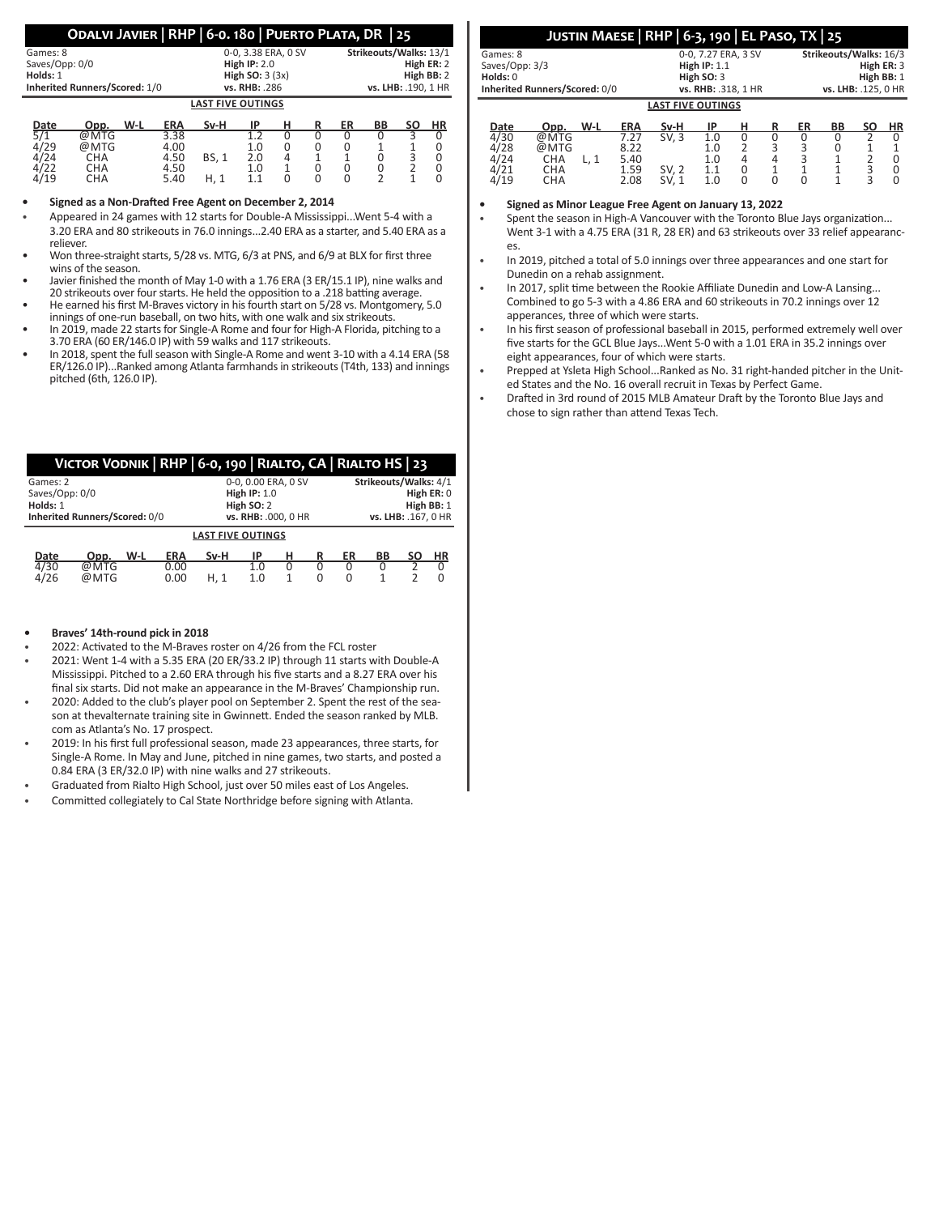| ODALVI JAVIER RHP 6-0.180 PUERTO PLATA, DR 25 |  |  |  |
|-----------------------------------------------|--|--|--|
|-----------------------------------------------|--|--|--|

| Games: 8       |                               |      | 0-0, 3.38 ERA, 0 SV | Strikeouts/Walks: 13/1 |     |   |                     |            |    |            |    |
|----------------|-------------------------------|------|---------------------|------------------------|-----|---|---------------------|------------|----|------------|----|
| Saves/Opp: 0/0 |                               |      | High $IP: 2.0$      |                        |     |   |                     | High ER: 2 |    |            |    |
| Holds: 1       |                               |      | High $SO: 3(3x)$    |                        |     |   |                     |            |    | High BB: 2 |    |
|                | Inherited Runners/Scored: 1/0 |      |                     | vs. RHB: .286          |     |   | vs. LHB: .190, 1 HR |            |    |            |    |
|                | <b>LAST FIVE OUTINGS</b>      |      |                     |                        |     |   |                     |            |    |            |    |
| Date           | Opp.                          | W-L  | <b>ERA</b>          | Sv-H                   | ΙP  | н |                     | ER         | BB | <b>SO</b>  | HR |
| 5/1            | @MTG                          |      | 3.38                |                        | 1.2 |   |                     |            |    | ว          |    |
| 4/29           | @MTG                          | 4.00 |                     | 1.0                    | O   |   |                     |            |    |            |    |

4/24 CHA 4.50 BS, 1 2.0 4 1 1 0 3 0 4/22 CHA 4.50 1.0 1 0 0 0 2 0 4/19 CHA 5.40 H, 1 1.1 0 0 0 2 1 0

#### **• Signed as a Non-Drafted Free Agent on December 2, 2014**

- Appeared in 24 games with 12 starts for Double-A Mississippi...Went 5-4 with a 3.20 ERA and 80 strikeouts in 76.0 innings...2.40 ERA as a starter, and 5.40 ERA as a reliever.
- Won three-straight starts, 5/28 vs. MTG, 6/3 at PNS, and 6/9 at BLX for first three wins of the season.
- Javier finished the month of May 1-0 with a 1.76 ERA (3 ER/15.1 IP), nine walks and 20 strikeouts over four starts. He held the opposition to a .218 batting average.
- He earned his first M-Braves victory in his fourth start on 5/28 vs. Montgomery, 5.0 innings of one-run baseball, on two hits, with one walk and six strikeouts.
- In 2019, made 22 starts for Single-A Rome and four for High-A Florida, pitching to a 3.70 ERA (60 ER/146.0 IP) with 59 walks and 117 strikeouts.
- In 2018, spent the full season with Single-A Rome and went 3-10 with a 4.14 ERA (58 ER/126.0 IP)...Ranked among Atlanta farmhands in strikeouts (T4th, 133) and innings pitched (6th, 126.0 IP).

## **Victor Vodnik | RHP | 6-0, 190 | Rialto, CA | Rialto HS | 23**

|                               | Games: 2 |      |     |            | 0-0, 0.00 ERA, 0 SV      |            |   |   |    | Strikeouts/Walks: 4/1 |    |            |  |  |  |
|-------------------------------|----------|------|-----|------------|--------------------------|------------|---|---|----|-----------------------|----|------------|--|--|--|
| Saves/Opp: 0/0                |          |      |     |            | High $IP: 1.0$           |            |   |   |    | High ER: 0            |    |            |  |  |  |
| Holds: 1                      |          |      |     |            |                          | High SO: 2 |   |   |    |                       |    | High BB: 1 |  |  |  |
| Inherited Runners/Scored: 0/0 |          |      |     |            | vs. RHB: .000, 0 HR      |            |   |   |    | vs. LHB: .167. 0 HR   |    |            |  |  |  |
|                               |          |      |     |            | <b>LAST FIVE OUTINGS</b> |            |   |   |    |                       |    |            |  |  |  |
|                               | Date     | Opp. | W-L | <b>ERA</b> | Sv-H                     | ΙP         | н |   | ER | ВB                    | SΟ | ΗR         |  |  |  |
|                               | 4/30     | @MTG |     | 0.00       |                          | 1.0        | O | O |    |                       |    |            |  |  |  |
| 4/26<br>@MTG<br>0.00          |          |      |     |            | H. 1                     | 1.0        |   | O |    |                       |    |            |  |  |  |
|                               |          |      |     |            |                          |            |   |   |    |                       |    |            |  |  |  |

## **• Braves' 14th-round pick in 2018**

- 2022: Activated to the M-Braves roster on 4/26 from the FCL roster
- 2021: Went 1-4 with a 5.35 ERA (20 ER/33.2 IP) through 11 starts with Double-A Mississippi. Pitched to a 2.60 ERA through his five starts and a 8.27 ERA over his final six starts. Did not make an appearance in the M-Braves' Championship run.
- 2020: Added to the club's player pool on September 2. Spent the rest of the season at thevalternate training site in Gwinnett. Ended the season ranked by MLB. com as Atlanta's No. 17 prospect.
- 2019: In his first full professional season, made 23 appearances, three starts, for Single-A Rome. In May and June, pitched in nine games, two starts, and posted a 0.84 ERA (3 ER/32.0 IP) with nine walks and 27 strikeouts.
- Graduated from Rialto High School, just over 50 miles east of Los Angeles.
- Committed collegiately to Cal State Northridge before signing with Atlanta.

|                               | JUSTIN MAESE   RHP   6-3, 190   EL PASO, TX   25 |                        |
|-------------------------------|--------------------------------------------------|------------------------|
| Games: 8                      | 0-0.7.27 ERA. 3 SV                               | Strikeouts/Walks: 16/3 |
| Saves/Opp: 3/3                | High $IP: 1.1$                                   | High ER: 3             |
| Holds: 0                      | High $SO:3$                                      | High BB: 1             |
| Inherited Runners/Scored: 0/0 | vs. RHB: .318. 1 HR                              | vs. LHB: .125. 0 HR    |

| <b>LAST FIVE OUTINGS</b> |                                   |     |                                      |                         |                          |                  |   |             |    |        |    |
|--------------------------|-----------------------------------|-----|--------------------------------------|-------------------------|--------------------------|------------------|---|-------------|----|--------|----|
| Date                     | Opp.                              | W-L | <b>ERA</b>                           | Sv-H                    | IP                       | н                | R | ER          | BB | SΟ     | HR |
| 4/30<br>28<br>24<br>4/19 | @MTG<br>@MTG<br>СНА<br>СНА<br>CHA |     | 7.27<br>8.22<br>5.40<br>1.59<br>2.08 | SV, 3<br>SV. 2<br>SV. 1 | 1.0<br>1.0<br>1.0<br>1.0 | 0<br>4<br>0<br>0 |   | 0<br>∍<br>∽ |    | 3<br>ς |    |

**• Signed as Minor League Free Agent on January 13, 2022**

Spent the season in High-A Vancouver with the Toronto Blue Jays organization... Went 3-1 with a 4.75 ERA (31 R, 28 ER) and 63 strikeouts over 33 relief appearances.

In 2019, pitched a total of 5.0 innings over three appearances and one start for Dunedin on a rehab assignment.

- In 2017, split time between the Rookie Affiliate Dunedin and Low-A Lansing... Combined to go 5-3 with a 4.86 ERA and 60 strikeouts in 70.2 innings over 12 apperances, three of which were starts.
- In his first season of professional baseball in 2015, performed extremely well over five starts for the GCL Blue Jays...Went 5-0 with a 1.01 ERA in 35.2 innings over eight appearances, four of which were starts.
- Prepped at Ysleta High School...Ranked as No. 31 right-handed pitcher in the United States and the No. 16 overall recruit in Texas by Perfect Game.
- Drafted in 3rd round of 2015 MLB Amateur Draft by the Toronto Blue Jays and chose to sign rather than attend Texas Tech.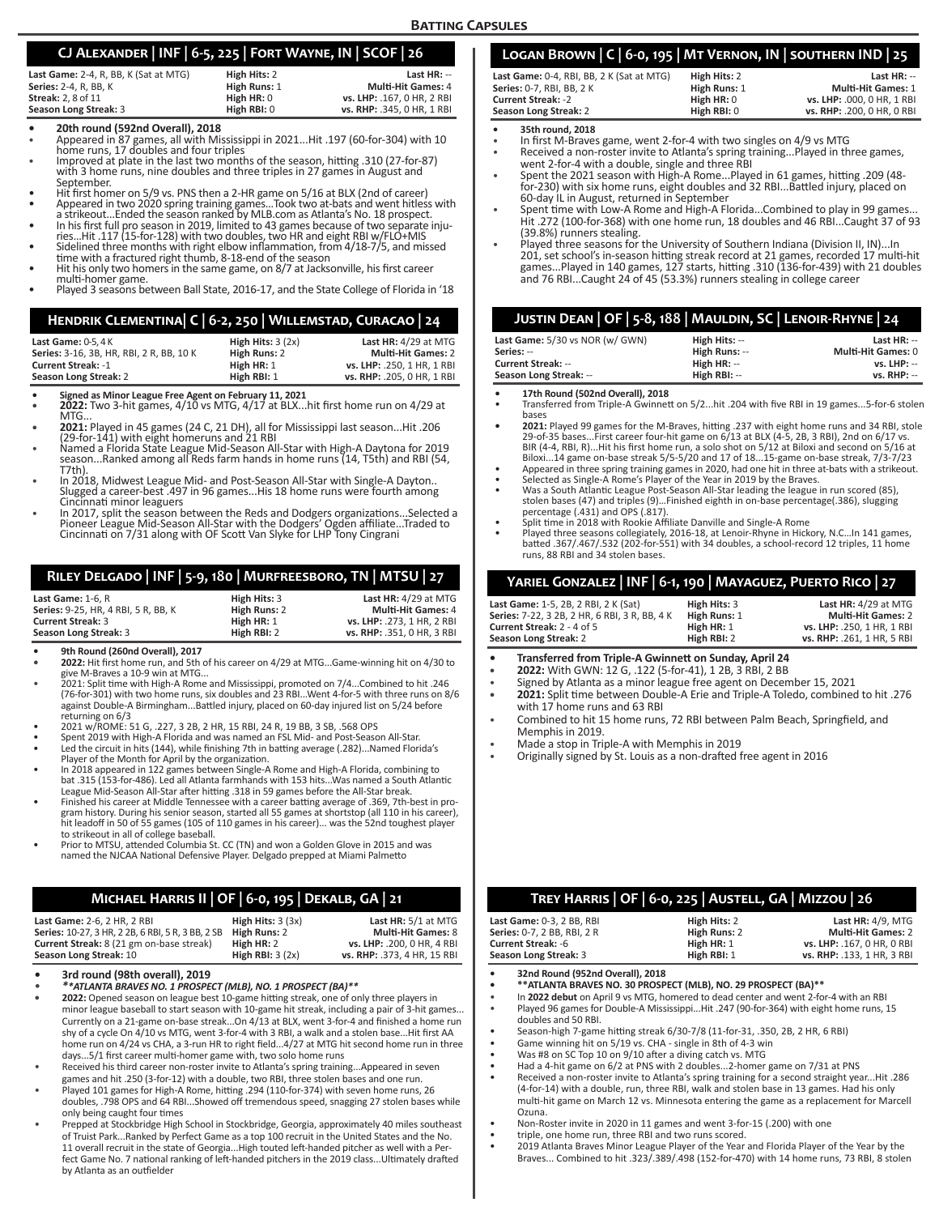## **Batting Capsules**

## **CJ Alexander | INF | 6-5, 225 | Fort Wayne, IN | SCOF | 26**

| _____        |                            |
|--------------|----------------------------|
| High Hits: 2 | Last $HR: -$               |
| High Runs: 1 | <b>Multi-Hit Games: 4</b>  |
| High HR: 0   | vs. LHP: .167. 0 HR. 2 RBI |
| High RBI: 0  | vs. RHP: .345, 0 HR, 1 RBI |
|              |                            |

- 
- **• 20th round (592nd Overall), 2018** Appeared in 87 games, all with Mississippi in 2021...Hit .197 (60-for-304) with 10
- Improved at plate in the last two months of the season, hitting .310 (27-for-87) with 3 home runs, nine doubles and three triples in 27 games in August and
- 
- Hit first homer on 5/9 vs. PNS then a 2-HR game on 5/16 at BLX (2nd of career)<br>Appeared in two 2020 spring training games...Took two at-bats and went hitless with<br>a strikeout...Ended the season ranked by MLB.com as Atlanta
- a statement in the first full pro-season in 2019, limited to 43 games because of two separate inju-<br>ties...Hit .117 (15-for-128) with two doubles, two HR and eight RBI w/FLO+MIS<br>Sidelined three months with right elbow infl
- Hit his only two homers in the same game, on 8/7 at Jacksonville, his first career multi-homer game.
- 
- male homer game.<br>Played 3 seasons between Ball State, 2016-17, and the State College of Florida in '18

## **Hendrik Clementina| C | 6-2, 250 | Willemstad, Curacao | 24**

| Last Game: $0-5.4K$                      | High Hits: $3(2x)$ | Last HR: 4/29 at MTG       |
|------------------------------------------|--------------------|----------------------------|
| Series: 3-16, 3B, HR, RBI, 2 R, BB, 10 K | High Runs: 2       | <b>Multi-Hit Games: 2</b>  |
| <b>Current Streak: -1</b>                | High HR: 1         | vs. LHP: .250, 1 HR, 1 RBI |
| Season Long Streak: 2                    | High RBI: 1        | vs. RHP: .205. 0 HR. 1 RBI |

- **• Signed as Minor League Free Agent on February 11, 2021 • 2022:** Two 3-hit games, 4/10 vs MTG, 4/17 at BLX...hit first home run on 4/29 at
- 
- MTG...<br>2021: Played in 45 games (24 C, 21 DH), all for Mississippi last season...Hit .206<br>(29-for-141) with eight homeruns and 21 RBI<br>Named a Florida State League Mid-Season All-Star with High-A Daytona for 2019
- season...Ranked among all Reds farm hands in home runs (14, T5th) and RBI (54,<br>T7th)
- In 2018, Midwest League Mid- and Post-Season All-Star with Single-A Dayton.. Slugged a career-best .497 in 96 games...His 18 home runs were fourth among
- In 2017, split the season between the Reds and Dodgers organizations...Selected a Pioneer League Mid-Season All-Star with the Dodgers' Ogden affiliate...Traded to Cincinnati on 7/31 along with OF Scott Van Slyke for LHP Tony Cingrani

## **Riley Delgado | INF | 5-9, 180 | Murfreesboro, TN | MTSU | 27**

| Last Game: 1-6. R                          | High Hits: 3 | Last $HR: 4/29$ at MTG     |
|--------------------------------------------|--------------|----------------------------|
| <b>Series: 9-25. HR. 4 RBI. 5 R. BB. K</b> | High Runs: 2 | <b>Multi-Hit Games: 4</b>  |
| <b>Current Streak: 3</b>                   | High HR: 1   | vs. LHP: .273. 1 HR. 2 RBI |
| Season Long Streak: 3                      | High RBI: 2  | vs. RHP: .351. 0 HR. 3 RBI |

- **• 9th Round (260nd Overall), 2017 • 2022:** Hit first home run, and 5th of his career on 4/29 at MTG...Game-winning hit on 4/30 to
- give M-Braves a 10-9 win at MTG... 2021: Split time with High-A Rome and Mississippi, promoted on 7/4...Combined to hit .246 (76-for-301) with two home runs, six doubles and 23 RBI...Went 4-for-5 with three runs on 8/6 against Double-A Birmingham...Battled injury, placed on 60-day injured list on 5/24 before
- 
- returning on 6/3<br>2021 w/ROME: 51 G, .227, 3 2B, 2 HR, 15 RBI, 24 R, 19 BB, 3 SB, .568 OPS<br>Spent 2019 with High-A Florida and was named an FSL Mid- and Post-Season All-Star.<br>Led the circuit in hits (144), while finishing 7t
- 
- Player of the Month for April by the organization. In 2018 appeared in 122 games between Single-A Rome and High-A Florida, combining to bat .315 (153-for-486). Led all Atlanta farmhands with 153 hits...Was named a South Atlantic
- League Mid-Season All-Star after hitting .318 in 59 games before the All-Star break. Finished his career at Middle Tennessee with a career batting average of .369, 7th-best in program history. During his senior season, started all 55 games at shortstop (all 110 in his career), hit leadoff in 50 of 55 games (105 of 110 games in his career)... was the 52nd toughest player<br>to strikeout in all of college baseball.<br>Prior to MTSU, attended Columbia St. CC (TN) and won a Golden Glove in 2015 and was
- named the NJCAA National Defensive Player. Delgado prepped at Miami Palmetto

## **Michael Harris II | OF | 6-0, 195 | Dekalb, GA | 21**

| Last Game: 2-6, 2 HR, 2 RBI                       | High Hits: $3(3x)$ | Last HR: 5/1 at MTG         |
|---------------------------------------------------|--------------------|-----------------------------|
| Series: 10-27, 3 HR, 2 2B, 6 RBI, 5 R, 3 BB, 2 SB | High Runs: 2       | <b>Multi-Hit Games: 8</b>   |
| Current Streak: 8 (21 gm on-base streak)          | High HR: 2         | vs. LHP: .200. 0 HR. 4 RBI  |
| Season Long Streak: 10                            | High RBI: $3(2x)$  | vs. RHP: .373, 4 HR, 15 RBI |

- 
- **• 3rd round (98th overall), 2019** *\*\*ATLANTA BRAVES NO. 1 PROSPECT (MLB), NO. 1 PROSPECT (BA)\*\**
- **• 2022:** Opened season on league best 10-game hitting streak, one of only three players in minor league baseball to start season with 10-game hit streak, including a pair of 3-hit games... Currently on a 21-game on-base streak...On 4/13 at BLX, went 3-for-4 and finished a home run shy of a cycle On 4/10 vs MTG, went 3-for-4 with 3 RBI, a walk and a stolen base...Hit first AA home run on 4/24 vs CHA, a 3-run HR to right field...4/27 at MTG hit second home run in three days...5/1 first career multi-homer game with, two solo home runs
- Received his third career non-roster invite to Atlanta's spring training...Appeared in seven games and hit .250 (3-for-12) with a double, two RBI, three stolen bases and one run.
- Played 101 games for High-A Rome, hitting .294 (110-for-374) with seven home runs, 26 doubles, .798 OPS and 64 RBI...Showed off tremendous speed, snagging 27 stolen bases while only being caught four times
- Prepped at Stockbridge High School in Stockbridge, Georgia, approximately 40 miles southeast of Truist Park...Ranked by Perfect Game as a top 100 recruit in the United States and the No. 11 overall recruit in the state of Georgia...High touted left-handed pitcher as well with a Per-fect Game No. 7 national ranking of left-handed pitchers in the 2019 class...Ultimately drafted by Atlanta as an outfielder

| LOGAN BROWN   C   6-0, 195   MT VERNON, IN   SOUTHERN IND   25 |               |                            |
|----------------------------------------------------------------|---------------|----------------------------|
| Last Game: 0-4, RBI, BB, 2 K (Sat at MTG)                      | High Hits: 2  | Last $HR: -$               |
| Series: 0-7, RBI, BB, 2 K                                      | High Runs: 1  | <b>Multi-Hit Games: 1</b>  |
| <b>Current Streak: -2</b>                                      | High $HR: 0$  | vs. LHP: .000. 0 HR. 1 RBI |
| Season Long Streak: 2                                          | High $RBI: 0$ | vs. RHP: .200, 0 HR, 0 RBI |

**• 35th round, 2018**

- In first M-Braves game, went 2-for-4 with two singles on 4/9 vs MTG
- Received a non-roster invite to Atlanta's spring training...Played in three games,
- went 2-for-4 with a double, single and three RBI Spent the 2021 season with High-A Rome...Played in 61 games, hitting .209 (48 for-230) with six home runs, eight doubles and 32 RBI...Battled injury, placed on 60-day IL in August, returned in September
- Spent time with Low-A Rome and High-A Florida...Combined to play in 99 games. Hit .272 (100-for-368) with one home run, 18 doubles and 46 RBI...Caught 37 of 93 (39.8%) runners stealing.
- Played three seasons for the University of Southern Indiana (Division II, IN)...In<br>201, set school's in-season hitting streak record at 21 games, recorded 17 multi-hit<br>games...Played in 140 games, 127 starts, hitting .310 and 76 RBI...Caught 24 of 45 (53.3%) runners stealing in college career

## **Justin Dean | OF | 5-8, 188 | Mauldin, SC | Lenoir-Rhyne | 24**

| Last Game: 5/30 vs NOR (w/ GWN) | High Hits: -- | Last $HR: -$              |
|---------------------------------|---------------|---------------------------|
| Series: --                      | High Runs: -- | <b>Multi-Hit Games: 0</b> |
| Current Streak: --              | High $HR: -$  | $vs.$ LHP: $-$            |
| Season Long Streak: --          | High RBI: --  | $vs.$ RHP: $-$            |

- **• 17th Round (502nd Overall), 2018**
- Transferred from Triple-A Gwinnett on 5/2...hit .204 with five RBI in 19 games...5-for-6 stolen bases
- **• 2021:** Played 99 games for the M-Braves, hitting .237 with eight home runs and 34 RBI, stole 29-of-35 bases...First career four-hit game on 6/13 at BLX (4-5, 2B, 3 RBI), 2nd on 6/17 vs. BIR (4-4, RBI, R)...Hit his first home run, a solo shot on 5/12 at Biloxi and second on 5/16 at Biloxi...14 game on-base streak 5/5-5/20 and 17 of 18...15-game on-base streak, 7/3-7/23
- 
- Appeared in three spring training games in 2020, had one hit in three at-bats with a strikeout.<br>Selected as Single-A Rome's Player of the Year in 2019 by the Braves.<br>Was a South Atlantic League Post-Season All-Star leading
- stolen bases (47) and triples (9)...Finished eighth in on-base percentage(.386), slugging<br>percentage (.431) and OPS (.817).<br>• Split time in 2018 with Rookie Affiliate Danville and Single-A Rome<br>• Played three seasons colle
- 
- Played three seasons collegiately, 2016-18, at Lenoir-Rhyne in Hickory, N.C...In 141 games, batted .367/.467/.532 (202-for-551) with 34 doubles, a school-record 12 triples, 11 home runs, 88 RBI and 34 stolen bases.

## **Yariel Gonzalez | INF | 6-1, 190 | Mayaguez, Puerto Rico | 27**

| Last Game: 1-5, 2B, 2 RBI, 2 K (Sat)<br>Series: 7-22, 3 2B, 2 HR, 6 RBI, 3 R, BB, 4 K | High Hits: 3<br>High Runs: 1 | Last HR: 4/29 at MTG<br><b>Multi-Hit Games: 2</b> |
|---------------------------------------------------------------------------------------|------------------------------|---------------------------------------------------|
| <b>Current Streak: 2 - 4 of 5</b>                                                     | High HR: 1                   | vs. LHP: .250. 1 HR. 1 RBI                        |
| Season Long Streak: 2                                                                 | High RBI: 2                  | vs. RHP: .261. 1 HR. 5 RBI                        |

- **• Transferred from Triple-A Gwinnett on Sunday, April 24**
- **• 2022:** With GWN: 12 G, .122 (5-for-41), 1 2B, 3 RBI, 2 BB
- Signed by Atlanta as a minor league free agent on December 15, 2021
- **• 2021:** Split time between Double-A Erie and Triple-A Toledo, combined to hit .276 with 17 home runs and 63 RBI
- Combined to hit 15 home runs, 72 RBI between Palm Beach, Springfield, and Memphis in 2019.
- Made a stop in Triple-A with Memphis in 2019
- Originally signed by St. Louis as a non-drafted free agent in 2016

| TREY HARRIS   OF   6-0, 225   AUSTELL, GA   MIZZOU   26 |              |                            |  |  |
|---------------------------------------------------------|--------------|----------------------------|--|--|
| Last Game: 0-3, 2 BB, RBI                               | High Hits: 2 | <b>Last HR: 4/9. MTG</b>   |  |  |
| Series: 0-7, 2 BB, RBI, 2 R                             | High Runs: 2 | <b>Multi-Hit Games: 2</b>  |  |  |
| <b>Current Streak: -6</b>                               | High HR: $1$ | vs. LHP: .167, 0 HR, 0 RBI |  |  |
| Season Long Streak: 3                                   | High RBI: 1  | vs. RHP: .133, 1 HR, 3 RBI |  |  |
| 32nd Round (952nd Overall) 2018                         |              |                            |  |  |

- **• 32nd Round (952nd Overall), 2018 • \*\*ATLANTA BRAVES NO. 30 PROSPECT (MLB), NO. 29 PROSPECT (BA)\*\***
- In **2022 debut** on April 9 vs MTG, homered to dead center and went 2-for-4 with an RBI
- Played 96 games for Double-A Mississippi...Hit .247 (90-for-364) with eight home runs, 15 doubles and 50 RBI.
- Season-high 7-game hitting streak 6/30-7/8 (11-for-31, .350, 2B, 2 HR, 6 RBI)
- Game winning hit on 5/19 vs. CHA single in 8th of 4-3 win
- 
- Was #8 on SC Top 10 on 9/10 after a diving catch vs. MTG Had a 4-hit game on 6/2 at PNS with 2 doubles...2-homer game on 7/31 at PNS
- Received a non-roster invite to Atlanta's spring training for a second straight year...Hit .286 (4-for-14) with a double, run, three RBI, walk and stolen base in 13 games. Had his only multi-hit game on March 12 vs. Minnesota entering the game as a replacement for Marcell Ozuna.
- 
- 
- Non-Roster invite in 2020 in 11 games and went 3-for-15 (.200) with one triple, one home run, three RBI and two runs scored. 2019 Atlanta Braves Minor League Player of the Year and Florida Player of the Year by the Braves... Combined to hit .323/.389/.498 (152-for-470) with 14 home runs, 73 RBI, 8 stolen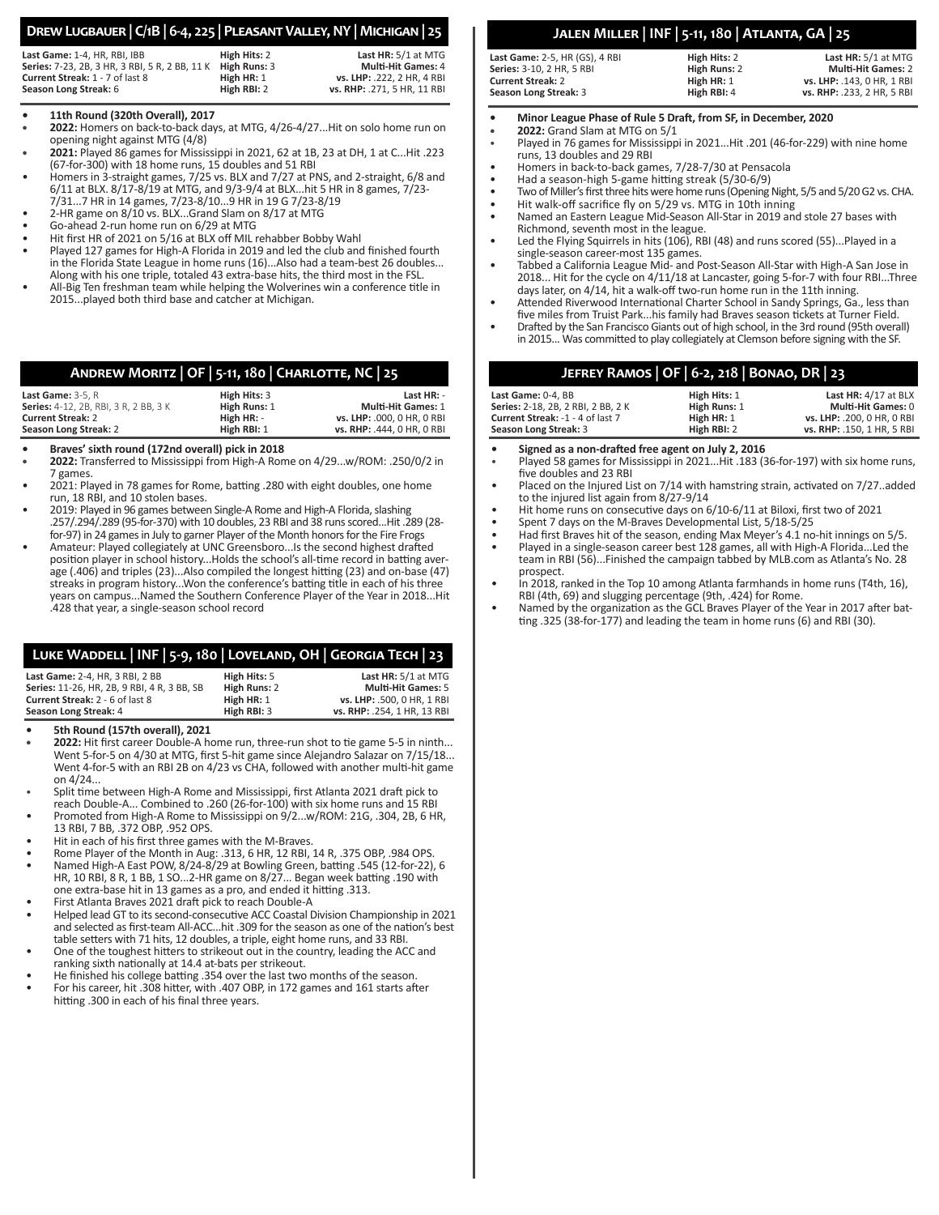## **Drew Lugbauer | C/1B | 6-4, 225 | Pleasant Valley, NY | Michigan | 25**

| Last Game: 1-4, HR, RBI, IBB                   | High Hits: 2 | Last HR: 5/1 at MTG         |
|------------------------------------------------|--------------|-----------------------------|
| Series: 7-23, 2B, 3 HR, 3 RBI, 5 R, 2 BB, 11 K | High Runs: 3 | <b>Multi-Hit Games: 4</b>   |
| <b>Current Streak: 1 - 7 of last 8</b>         | High HR: 1   | vs. LHP: .222. 2 HR. 4 RBI  |
| Season Long Streak: 6                          | High RBI: 2  | vs. RHP: .271. 5 HR. 11 RBI |

#### **• 11th Round (320th Overall), 2017**

- **• 2022:** Homers on back-to-back days, at MTG, 4/26-4/27...Hit on solo home run on opening night against MTG (4/8)
- **• 2021:** Played 86 games for Mississippi in 2021, 62 at 1B, 23 at DH, 1 at C...Hit .223 (67-for-300) with 18 home runs, 15 doubles and 51 RBI
- Homers in 3-straight games, 7/25 vs. BLX and 7/27 at PNS, and 2-straight, 6/8 and 6/11 at BLX. 8/17-8/19 at MTG, and 9/3-9/4 at BLX...hit 5 HR in 8 games, 7/23- 7/31...7 HR in 14 games, 7/23-8/10...9 HR in 19 G 7/23-8/19
- 2-HR game on 8/10 vs. BLX...Grand Slam on 8/17 at MTG
- Go-ahead 2-run home run on 6/29 at MTG
- Hit first HR of 2021 on 5/16 at BLX off MIL rehabber Bobby Wahl
- Played 127 games for High-A Florida in 2019 and led the club and finished fourth in the Florida State League in home runs (16)...Also had a team-best 26 doubles... Along with his one triple, totaled 43 extra-base hits, the third most in the FSL.
- All-Big Ten freshman team while helping the Wolverines win a conference title in 2015...played both third base and catcher at Michigan.

|             | ANDREW MORITZ   OF   5-11, 180   CHARLOTTE, NC   25 |      |
|-------------|-----------------------------------------------------|------|
| Sann (S, D) | High Hitch 2                                        | +مما |

| Last Game: $3-5. R$                          | High Hits: 3 | Last $HR: -$               |
|----------------------------------------------|--------------|----------------------------|
| <b>Series:</b> 4-12, 2B, RBI, 3 R, 2 BB, 3 K | High Runs: 1 | <b>Multi-Hit Games: 1</b>  |
| <b>Current Streak: 2</b>                     | High HR: -   | vs. LHP: .000. 0 HR. 0 RBI |
| Season Long Streak: 2                        | High RBI: 1  | vs. RHP: .444. 0 HR. 0 RBI |

**• Braves' sixth round (172nd overall) pick in 2018**

- **• 2022:** Transferred to Mississippi from High-A Rome on 4/29...w/ROM: .250/0/2 in 7 games.
- 2021: Played in 78 games for Rome, batting .280 with eight doubles, one home run, 18 RBI, and 10 stolen bases.
- 2019: Played in 96 games between Single-A Rome and High-A Florida, slashing .257/.294/.289 (95-for-370) with 10 doubles, 23 RBI and 38 runs scored...Hit .289 (28 for-97) in 24 games in July to garner Player of the Month honors for the Fire Frogs
- Amateur: Played collegiately at UNC Greensboro...Is the second highest drafted position player in school history...Holds the school's all-time record in batting average (.406) and triples (23)...Also compiled the longest hitting (23) and on-base (47) streaks in program history...Won the conference's batting title in each of his three years on campus...Named the Southern Conference Player of the Year in 2018...Hit .428 that year, a single-season school record

| LUKE WADDELL   INF   5-9, 180   LOVELAND, OH   GEORGIA TECH   23 |              |                     |
|------------------------------------------------------------------|--------------|---------------------|
| Last Game: 2-4, HR, 3 RBI, 2 BB                                  | High Hits: 5 | Last HR: 5/1 at MTG |

| <b>Last Gallie:</b> $2 \pi$ , $\lim_{x \to 0}$ , $2 \pi$ |              | <b>LG3L III</b> N, $J/L$ GUIVING |
|----------------------------------------------------------|--------------|----------------------------------|
| Series: 11-26, HR, 2B, 9 RBI, 4 R, 3 BB, SB              | High Runs: 2 | <b>Multi-Hit Games: 5</b>        |
| <b>Current Streak: 2 - 6 of last 8</b>                   | High HR: 1   | vs. LHP: .500, 0 HR, 1 RBI       |
| Season Long Streak: 4                                    | High RBI: 3  | vs. RHP: .254, 1 HR, 13 RBI      |
|                                                          |              |                                  |

- **• 5th Round (157th overall), 2021**
- **• 2022:** Hit first career Double-A home run, three-run shot to tie game 5-5 in ninth... Went 5-for-5 on 4/30 at MTG, first 5-hit game since Alejandro Salazar on 7/15/18... Went 4-for-5 with an RBI 2B on 4/23 vs CHA, followed with another multi-hit game on 4/24...
- Split time between High-A Rome and Mississippi, first Atlanta 2021 draft pick to reach Double-A... Combined to .260 (26-for-100) with six home runs and 15 RBI
- Promoted from High-A Rome to Mississippi on 9/2...w/ROM: 21G, .304, 2B, 6 HR, 13 RBI, 7 BB, .372 OBP, .952 OPS.
- Hit in each of his first three games with the M-Braves.
- Rome Player of the Month in Aug: .313, 6 HR, 12 RBI, 14 R, .375 OBP, .984 OPS.
- Named High-A East POW, 8/24-8/29 at Bowling Green, batting .545 (12-for-22), 6 HR, 10 RBI, 8 R, 1 BB, 1 SO...2-HR game on 8/27... Began week batting .190 with one extra-base hit in 13 games as a pro, and ended it hitting .313.
- First Atlanta Braves 2021 draft pick to reach Double-A
- Helped lead GT to its second-consecutive ACC Coastal Division Championship in 2021 and selected as first-team All-ACC...hit .309 for the season as one of the nation's best table setters with 71 hits, 12 doubles, a triple, eight home runs, and 33 RBI.
- One of the toughest hitters to strikeout out in the country, leading the ACC and ranking sixth nationally at 14.4 at-bats per strikeout.
- He finished his college batting .354 over the last two months of the season. • For his career, hit .308 hitter, with .407 OBP, in 172 games and 161 starts after
- hitting .300 in each of his final three years.

## **Jalen Miller | INF | 5-11, 180 | Atlanta, GA | 25**

| Last Game: 2-5, HR (GS), 4 RBI | High Hits: 2 | Last $HR: 5/1$ at MTG      |
|--------------------------------|--------------|----------------------------|
| Series: 3-10, 2 HR, 5 RBI      | High Runs: 2 | <b>Multi-Hit Games: 2</b>  |
| Current Streak: 2              | High HR: 1   | vs. LHP: .143. 0 HR. 1 RBI |
| Season Long Streak: 3          | High RBI: 4  | vs. RHP: .233. 2 HR. 5 RBI |

- **• Minor League Phase of Rule 5 Draft, from SF, in December, 2020**
- **• 2022:** Grand Slam at MTG on 5/1
- Played in 76 games for Mississippi in 2021...Hit .201 (46-for-229) with nine home runs, 13 doubles and 29 RBI
- Homers in back-to-back games, 7/28-7/30 at Pensacola
- Had a season-high 5-game hitting streak (5/30-6/9)<br>• Two of Miller's first three bits were borne runs (Opening
- Two of Miller's first three hits were home runs (Opening Night, 5/5 and 5/20 G2 vs. CHA.
- Hit walk-off sacrifice fly on 5/29 vs. MTG in 10th inning<br>• Named an Eastern League Mid-Season All-Star in 2019 and
- Named an Eastern League Mid-Season All-Star in 2019 and stole 27 bases with Richmond, seventh most in the league.
- Led the Flying Squirrels in hits (106), RBI (48) and runs scored (55)...Played in a single-season career-most 135 games.
- Tabbed a California League Mid- and Post-Season All-Star with High-A San Jose in 2018... Hit for the cycle on 4/11/18 at Lancaster, going 5-for-7 with four RBI...Three days later, on 4/14, hit a walk-off two-run home run in the 11th inning.
- Attended Riverwood International Charter School in Sandy Springs, Ga., less than five miles from Truist Park...his family had Braves season tickets at Turner Field.
- Drafted by the San Francisco Giants out of high school, in the 3rd round (95th overall) in 2015... Was committed to play collegiately at Clemson before signing with the SF.

| JEFREY RAMOS   OF   6-2, 218   BONAO, DR   23 |  |  |  |
|-----------------------------------------------|--|--|--|
|-----------------------------------------------|--|--|--|

| Last Game: 0-4. BB                 | High Hits: 1 | Last HR: 4/17 at BLX       |
|------------------------------------|--------------|----------------------------|
| Series: 2-18, 2B, 2 RBI, 2 BB, 2 K | High Runs: 1 | <b>Multi-Hit Games: 0</b>  |
| Current Streak: -1 - 4 of last 7   | High HR: 1   | vs. LHP: .200. 0 HR. 0 RBI |
| Season Long Streak: 3              | High RBI: 2  | vs. RHP: .150. 1 HR. 5 RBI |

- **• Signed as a non-drafted free agent on July 2, 2016** • Played 58 games for Mississippi in 2021...Hit .183 (36-for-197) with six home runs, five doubles and 23 RBI
- Placed on the Injured List on 7/14 with hamstring strain, activated on 7/27..added to the injured list again from 8/27-9/14
- Hit home runs on consecutive days on 6/10-6/11 at Biloxi, first two of 2021
- Spent 7 days on the M-Braves Developmental List, 5/18-5/25
- Had first Braves hit of the season, ending Max Meyer's 4.1 no-hit innings on 5/5.
- Played in a single-season career best 128 games, all with High-A Florida...Led the team in RBI (56)...Finished the campaign tabbed by MLB.com as Atlanta's No. 28 prospect.
- In 2018, ranked in the Top 10 among Atlanta farmhands in home runs (T4th, 16), RBI (4th, 69) and slugging percentage (9th, .424) for Rome.
- Named by the organization as the GCL Braves Player of the Year in 2017 after batting .325 (38-for-177) and leading the team in home runs (6) and RBI (30).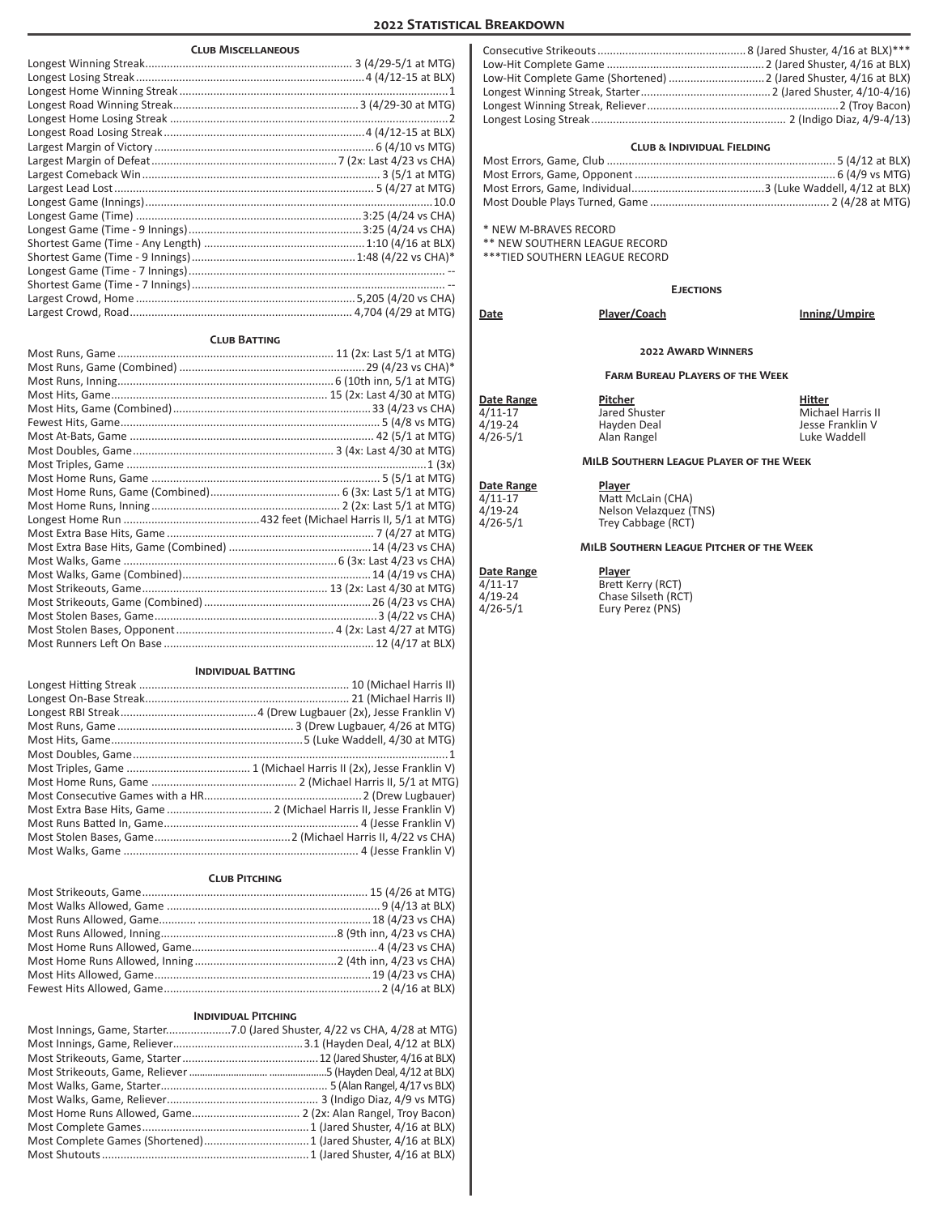## **2022 Statistical Breakdown**

| <b>CLUB MISCELLANEOUS</b> |  |  |
|---------------------------|--|--|
|                           |  |  |
|                           |  |  |
|                           |  |  |
|                           |  |  |
|                           |  |  |
|                           |  |  |
|                           |  |  |
|                           |  |  |
|                           |  |  |
|                           |  |  |
|                           |  |  |
|                           |  |  |
|                           |  |  |
|                           |  |  |
|                           |  |  |
|                           |  |  |
|                           |  |  |
|                           |  |  |
|                           |  |  |

#### **Club Batting**

#### **Individual Batting**

| (Michael Harris II) 10 (Michael Harris III) 11 (Michael Harris II) 12 (Michael Harris II) 12 (Michael Harris I |
|----------------------------------------------------------------------------------------------------------------|
|                                                                                                                |
|                                                                                                                |
|                                                                                                                |
|                                                                                                                |
|                                                                                                                |
|                                                                                                                |
|                                                                                                                |
|                                                                                                                |
| Most Extra Base Hits, Game  2 (Michael Harris II, Jesse Franklin V)                                            |
|                                                                                                                |
|                                                                                                                |
|                                                                                                                |
|                                                                                                                |

### **Club Pitching**

### **Individual Pitching**

#### **Club & Individual Fielding**

\* NEW M-BRAVES RECORD

 $4/26 - 5/1$ 

\*\* NEW SOUTHERN LEAGUE RECORD

\*\*\*TIED SOUTHERN LEAGUE RECORD

**Ejections**

| Date                                             | Player/Coach                                           | Inning/Umpire                                                   |
|--------------------------------------------------|--------------------------------------------------------|-----------------------------------------------------------------|
|                                                  | <b>2022 AWARD WINNERS</b>                              |                                                                 |
|                                                  | <b>FARM BUREAU PLAYERS OF THE WEEK</b>                 |                                                                 |
| Date Range<br>4/11-17<br>4/19-24<br>$4/26 - 5/1$ | Pitcher<br>Jared Shuster<br>Hayden Deal<br>Alan Rangel | Hitter<br>Michael Harris II<br>Jesse Franklin V<br>Luke Waddell |

#### **MiLB Southern League Player of the Week**

| Date Range | <b>Player</b>          |
|------------|------------------------|
| 4/11-17    | Matt McLain (CHA)      |
| 4/19-24    | Nelson Velazquez (TNS) |
| 4/26-5/1   | Trey Cabbage (RCT)     |

### **MiLB Southern League Pitcher of the Week**

| Date Range | Player              |
|------------|---------------------|
| 4/11-17    | Brett Kerry (RCT)   |
| 4/19-24    | Chase Silseth (RCT) |
| 4/26-5/1   | Eury Perez (PNS)    |
|            |                     |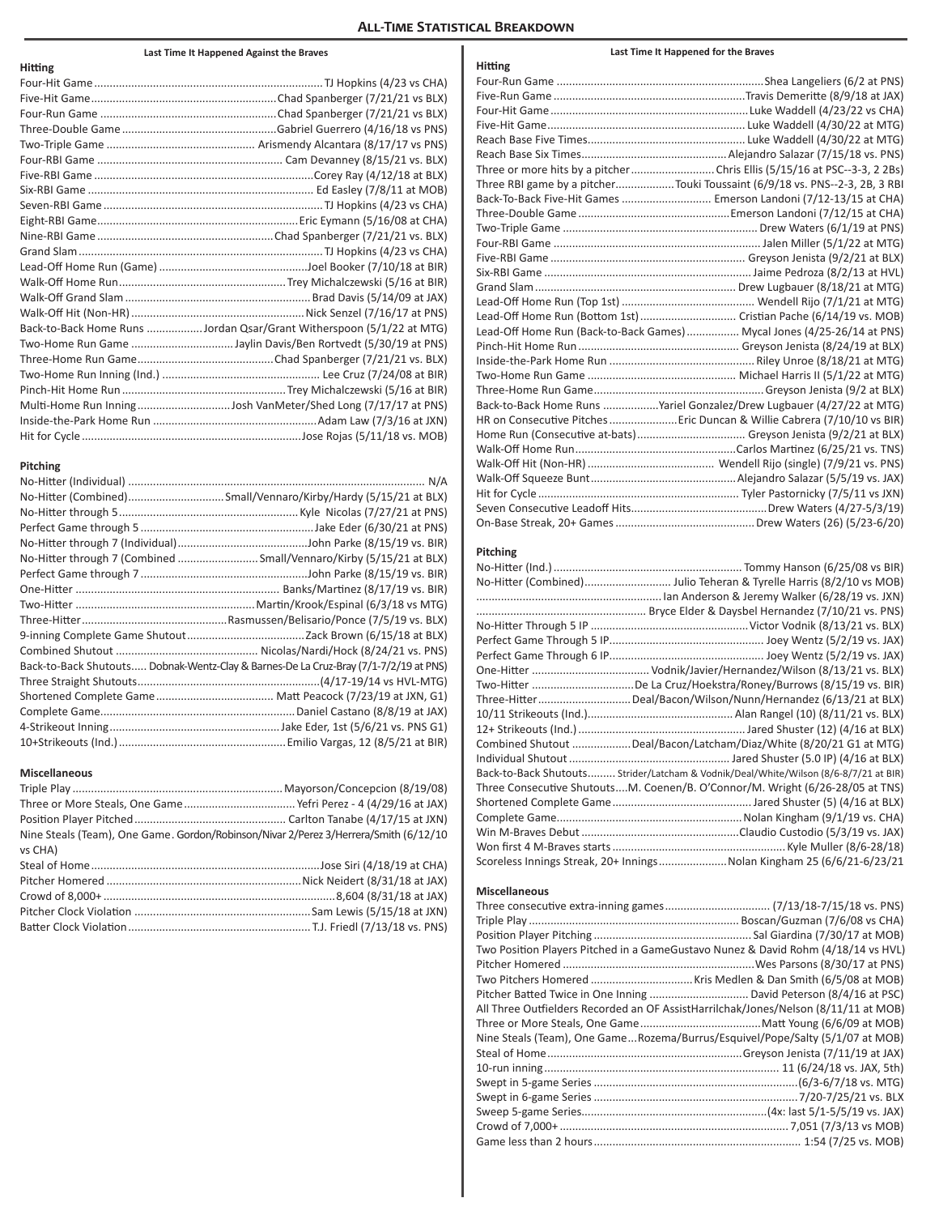#### **All-Time Statistical Breakdown**

**Hitting**

#### **Last Time It Happened Against the Braves**

| HItting |                                                                      |
|---------|----------------------------------------------------------------------|
|         |                                                                      |
|         |                                                                      |
|         |                                                                      |
|         |                                                                      |
|         |                                                                      |
|         |                                                                      |
|         |                                                                      |
|         |                                                                      |
|         |                                                                      |
|         |                                                                      |
|         |                                                                      |
|         |                                                                      |
|         |                                                                      |
|         |                                                                      |
|         |                                                                      |
|         |                                                                      |
|         | Back-to-Back Home Runs Jordan Qsar/Grant Witherspoon (5/1/22 at MTG) |
|         |                                                                      |
|         |                                                                      |
|         |                                                                      |
|         |                                                                      |
|         | Multi-Home Run InningJosh VanMeter/Shed Long (7/17/17 at PNS)        |
|         |                                                                      |
|         |                                                                      |

# **Pitching**

**Hitting**

| No-Hitter (Combined)Small/Vennaro/Kirby/Hardy (5/15/21 at BLX)                       |
|--------------------------------------------------------------------------------------|
|                                                                                      |
|                                                                                      |
|                                                                                      |
| No-Hitter through 7 (Combined  Small/Vennaro/Kirby (5/15/21 at BLX)                  |
|                                                                                      |
|                                                                                      |
|                                                                                      |
|                                                                                      |
|                                                                                      |
|                                                                                      |
| Back-to-Back Shutouts Dobnak-Wentz-Clay & Barnes-De La Cruz-Bray (7/1-7/2/19 at PNS) |
|                                                                                      |
|                                                                                      |
|                                                                                      |
|                                                                                      |
|                                                                                      |

#### **Miscellaneous**

| Nine Steals (Team), One Game. Gordon/Robinson/Nivar 2/Perez 3/Herrera/Smith (6/12/10) |
|---------------------------------------------------------------------------------------|
|                                                                                       |
|                                                                                       |
|                                                                                       |
|                                                                                       |
|                                                                                       |
|                                                                                       |
|                                                                                       |

#### Four-Run Game ...................................................................Shea Langeliers (6/2 at PNS) Five-Run Game ..............................................................Travis Demeritte (8/9/18 at JAX) Four-Hit Game................................................................Luke Waddell (4/23/22 vs CHA) Five-Hit Game................................................................ Luke Waddell (4/30/22 at MTG) Reach Base Five Times................................................... Luke Waddell (4/30/22 at MTG) Reach Base Six Times...............................................Alejandro Salazar (7/15/18 vs. PNS) Three or more hits by a pitcher........................... Chris Ellis (5/15/16 at PSC--3-3, 2 2Bs) Three RBI game by a pitcher...................Touki Toussaint (6/9/18 vs. PNS--2-3, 2B, 3 RBI Back-To-Back Five-Hit Games............................. Emerson Landoni (7/12-13/15 at CHA) Three-Double Game .................................................Emerson Landoni (7/12/15 at CHA) Two-Triple Game ............................................................... Drew Waters (6/1/19 at PNS) Four-RBI Game ................................................................... Jalen Miller (5/1/22 at MTG) Five-RBI Game ............................................................... Greyson Jenista (9/2/21 at BLX) Six-RBI Game ................................................................... Jaime Pedroza (8/2/13 at HVL) Grand Slam................................................................. Drew Lugbauer (8/18/21 at MTG) Lead-Off Home Run (Top 1st) ........................................... Wendell Rijo (7/1/21 at MTG) Lead-Off Home Run (Bottom 1st)............................... Cristian Pache (6/14/19 vs. MOB) Lead-Off Home Run (Back-to-Back Games)................. Mycal Jones (4/25-26/14 at PNS) Pinch-Hit Home Run.................................................... Greyson Jenista (8/24/19 at BLX) Inside-the-Park Home Run ............................................... Riley Unroe (8/18/21 at MTG) Two-Home Run Game ................................................ Michael Harris II (5/1/22 at MTG) Three-Home Run Game.......................................................Greyson Jenista (9/2 at BLX) Back-to-Back Home Runs ..................Yariel Gonzalez/Drew Lugbauer (4/27/22 at MTG) HR on Consecutive Pitches......................Eric Duncan & Willie Cabrera (7/10/10 vs BIR) Home Run (Consecutive at-bats)................................... Greyson Jenista (9/2/21 at BLX) Walk-Off Home Run....................................................Carlos Martinez (6/25/21 vs. TNS) Walk-Off Hit (Non-HR)......................................... Wendell Rijo (single) (7/9/21 vs. PNS) Walk-Off Squeeze Bunt...............................................Alejandro Salazar (5/5/19 vs. JAX) Hit for Cycle ................................................................. Tyler Pastornicky (7/5/11 vs JXN) Seven Consecutive Leadoff Hits............................................Drew Waters (4/27-5/3/19) On-Base Streak, 20+ Games.............................................Drew Waters (26) (5/23-6/20)

#### **Pitching**

| No-Hitter (Combined) Julio Teheran & Tyrelle Harris (8/2/10 vs MOB)                  |
|--------------------------------------------------------------------------------------|
|                                                                                      |
|                                                                                      |
|                                                                                      |
|                                                                                      |
|                                                                                      |
|                                                                                      |
| Two-Hitter De La Cruz/Hoekstra/Roney/Burrows (8/15/19 vs. BIR)                       |
| Three-HitterDeal/Bacon/Wilson/Nunn/Hernandez (6/13/21 at BLX)                        |
|                                                                                      |
|                                                                                      |
| Combined Shutout Deal/Bacon/Latcham/Diaz/White (8/20/21 G1 at MTG)                   |
|                                                                                      |
| Back-to-Back Shutouts Strider/Latcham & Vodnik/Deal/White/Wilson (8/6-8/7/21 at BIR) |
| Three Consecutive ShutoutsM. Coenen/B. O'Connor/M. Wright (6/26-28/05 at TNS)        |
|                                                                                      |
|                                                                                      |
|                                                                                      |
|                                                                                      |
| Scoreless Innings Streak, 20+ InningsNolan Kingham 25 (6/6/21-6/23/21                |
|                                                                                      |

#### **Miscellaneous**

| Two Position Players Pitched in a GameGustavo Nunez & David Rohm (4/18/14 vs HVL)   |
|-------------------------------------------------------------------------------------|
|                                                                                     |
|                                                                                     |
| Pitcher Batted Twice in One Inning  David Peterson (8/4/16 at PSC)                  |
| All Three Outfielders Recorded an OF AssistHarrilchak/Jones/Nelson (8/11/11 at MOB) |
|                                                                                     |
| Nine Steals (Team), One GameRozema/Burrus/Esquivel/Pope/Salty (5/1/07 at MOB)       |
|                                                                                     |
|                                                                                     |
|                                                                                     |
|                                                                                     |
|                                                                                     |
|                                                                                     |
|                                                                                     |

#### **Last Time It Happened for the Braves**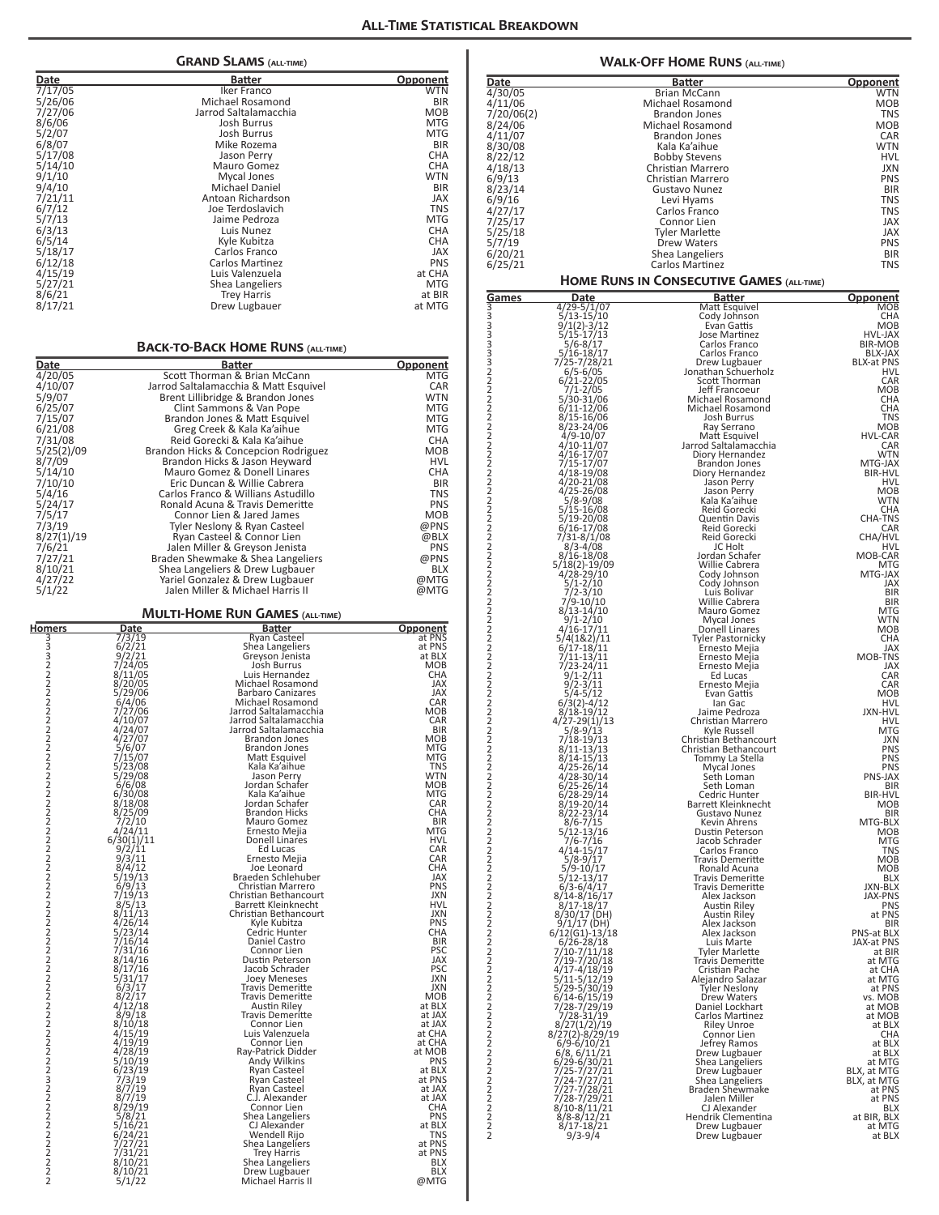|                                  |                                                | <b>GRAND SLAMS (ALL-TIME)</b>                                        |                          |
|----------------------------------|------------------------------------------------|----------------------------------------------------------------------|--------------------------|
| <u>Date</u>                      |                                                | Batter                                                               | <b>Opponent</b>          |
| 7/17/05                          |                                                | Iker Franco                                                          | <b>WTN</b>               |
| 5/26/06<br>7/27/06               |                                                | Michael Rosamond<br>Jarrod Saltalamacchia                            | BIR<br>MOB               |
| 8/6/06                           |                                                | Josh Burrus                                                          | <b>MTG</b>               |
| 5/2/07                           |                                                | Josh Burrus                                                          | MTG                      |
| 6/8/07<br>5/17/08                |                                                | Mike Rozema<br>Jason Perry                                           | BIR<br><b>CHA</b>        |
| 5/14/10                          |                                                | Mauro Gomez                                                          | <b>CHA</b>               |
| 9/1/10<br>9/4/10                 |                                                | Mycal Jones<br>Michael Daniel                                        | <b>WTN</b><br><b>BIR</b> |
| 7/21/11                          |                                                | Antoan Richardson                                                    | JAX                      |
| 6/7/12                           |                                                | Joe Terdoslavich                                                     | <b>TNS</b>               |
| 5/7/13<br>6/3/13                 |                                                | Jaime Pedroza<br>Luis Nunez                                          | <b>MTG</b><br><b>CHA</b> |
| 6/5/14                           |                                                | Kyle Kubitza                                                         | CHA                      |
| 5/18/17<br>6/12/18               |                                                | Carlos Franco<br>Carlos Martinez                                     | <b>JAX</b><br><b>PNS</b> |
| 4/15/19                          |                                                | Luis Valenzuela                                                      | at CHA                   |
| 5/27/21                          |                                                | Shea Langeliers                                                      | MTG                      |
| 8/6/21<br>8/17/21                |                                                | Trey Harris<br>Drew Lugbauer                                         | at BIR<br>at MTG         |
|                                  |                                                |                                                                      |                          |
|                                  |                                                |                                                                      |                          |
|                                  |                                                | <b>BACK-TO-BACK HOME RUNS (ALL-TIME)</b>                             |                          |
| Date<br>4/20/05                  |                                                | <b>Batter</b><br>Scott Thorman & Brian McCann                        | <b>Opponent</b><br>MTG   |
| 4/10/07                          |                                                | Jarrod Saltalamacchia & Matt Esquivel                                | CAR                      |
| 5/9/07                           |                                                | Brent Lillibridge & Brandon Jones                                    | <b>WTN</b><br><b>MTG</b> |
| 6/25/07<br>7/15/07               |                                                | Clint Sammons & Van Pope<br>Brandon Jones & Matt Esquivel            | <b>MTG</b>               |
| 6/21/08                          |                                                | Greg Creek & Kala Ka'aihue                                           | MTG                      |
| 7/31/08<br>5/25(2)/09            |                                                | Reid Gorecki & Kala Ka'aihue<br>Brandon Hicks & Concepcion Rodriguez | <b>CHA</b><br>MOB        |
| 8/7/09                           |                                                | Brandon Hicks & Jason Heyward                                        | HVL                      |
| 5/14/10                          |                                                | Mauro Gomez & Donell Linares                                         | CHA                      |
| 7/10/10<br>5/4/16                |                                                | Eric Duncan & Willie Cabrera<br>Carlos Franco & Willians Astudillo   | <b>BIR</b><br>TNS        |
| 5/24/17                          |                                                | Ronald Acuna & Travis Demeritte                                      | <b>PNS</b>               |
| 7/5/17                           |                                                | Connor Lien & Jared James                                            | <b>MOB</b>               |
| 7/3/19<br>8/27(1)/19             |                                                | Tyler Neslony & Ryan Casteel<br>Ryan Casteel & Connor Lien           | @PNS<br>@BLX             |
| 7/6/21                           |                                                | Jalen Miller & Greyson Jenista                                       | PNS                      |
| 7/27/21                          |                                                | Braden Shewmake & Shea Langeliers                                    | @PNS<br><b>BLX</b>       |
| 8/10/21<br>4/27/22               |                                                | Shea Langeliers & Drew Lugbauer<br>Yariel Gonzalez & Drew Lugbauer   | @MTG                     |
| 5/1/22                           |                                                | Jalen Miller & Michael Harris II                                     | @MTG                     |
|                                  |                                                | <b>MULTI-HOME RUN GAMES (ALL-TIME)</b>                               |                          |
| <b>Homers</b>                    | <u>Date</u><br>7/3/19                          | <u>Batter</u><br>Ryan Casteel                                        | Opponent<br>at PNS       |
| 3332222222                       | 6/2/21                                         | Shea Langeliers                                                      | at PNS                   |
|                                  | 9/2/21<br>7/24/05                              | Greyson Jenista<br>Josh Burrus                                       | at BLX<br>MOB            |
|                                  | 8/11/05                                        | Luis Hernandez                                                       | CHA                      |
|                                  | 8/20/05<br>5/29/06                             | Michael Rosamond<br><b>Barbaro Canizares</b>                         | JAX<br>JAX               |
|                                  | 6/4/06<br>7/27/06                              | Michael Rosamond<br>Jarrod Saltalamacchia                            | CAR<br>мов               |
|                                  | 4/10/07                                        | Jarrod Saltalamacchia                                                | CAR                      |
| 2<br>2                           | 4/24/07<br>4/27/07                             | Jarrod Saltalamacchia<br><b>Brandon Jones</b>                        | BIR<br>мов               |
| 2                                | 5/6/07<br>7/15/07                              | <b>Brandon Jones</b><br>Matt Esquivel                                | MTG<br>MTG               |
|                                  | 5/23/08                                        | Kala Ka'aihue                                                        | TNS                      |
|                                  | 5/29/08<br>6/6/08                              | Jason Perry<br>Jordan Schafer                                        | WTN<br>мов               |
|                                  | 6/30/08                                        | Kala Ka'aihue<br>Jordan Schafer                                      | MTG<br>CAR               |
|                                  | 8/18/08<br>8/25/09                             | <b>Brandon Hicks</b>                                                 | CHA                      |
|                                  | <i>7/2/</i> 10<br>4/24/11                      | Mauro Gomez<br>Ernesto Mejia                                         | BIR<br>MTG               |
|                                  | 6/30(1)/11                                     | Donell Linares                                                       | HVL                      |
| 2222222222222222222222222        | 9/2/11<br>9/3/11                               | Ed Lucas<br>Ernesto Mejia                                            | CAR<br>CAR               |
|                                  | $\frac{8}{4}/\frac{12}{13}$                    | Joe Leonard<br>Braeden Schlehuber                                    | CHA<br>JAX               |
|                                  | 6/9/13                                         | Christian Marrero                                                    | <b>PNS</b>               |
|                                  | 7/19/13<br>8/5/13                              | Christian Bethancourt<br>Barrett Kleinknecht                         | JXN<br>HVL               |
|                                  | 8/11/13<br>4/26/14                             | Christian Bethancourt<br>Kyle Kubitza                                | JXN<br><b>PNS</b>        |
|                                  | 5/23/14                                        | Cedric Hunter                                                        | CHA                      |
|                                  | 7/16/14<br>7/31/16                             | Daniel Castro<br>Connor Lien                                         | BIR<br>PSC               |
|                                  | 8/14/16                                        | Dustin Peterson                                                      | JAX                      |
|                                  | 8/17/16<br>5/31/17                             | Jacob Schrader<br>Joey Meneses                                       | PSC<br>JXN               |
|                                  | 6/3/17                                         | Travis Demeritte<br>Travis Demeritte                                 | JXN<br><b>MOB</b>        |
|                                  | $\frac{8}{2}/\frac{17}{12}/18$                 | Austin Riley                                                         | at BLX                   |
| $\overline{c}$<br>$\overline{c}$ | 8/9/18<br>8/10/18                              | Travis Demeritte<br>Connor Lien                                      | at JAX<br>at JAX         |
|                                  | 4/15/19<br>4/19/19                             | Luis Valenzuela<br>Connor Lien                                       | at CHA<br>at CHA         |
|                                  | 4/28/19                                        | Ray-Patrick Didder                                                   | at MOB                   |
|                                  | 5/10/19<br>6/23/19                             | Andy Wilkins<br>Ryan Casteel                                         | <b>PNS</b><br>at BLX     |
|                                  | 7/3/19                                         | Ryan Casteel                                                         | at PNS                   |
|                                  | 8/7/19<br>$\frac{8}{7}\frac{7}{19}$<br>8/29/19 | Ryan Casteel<br>C.J. Alexander                                       | at JAX<br>at JAX         |
|                                  | 5/8/21                                         | Connor Lien<br>Shea Langeliers                                       | CHA<br><b>PNS</b>        |
|                                  | 5/16/21                                        | CJ Alexander                                                         | at BLX                   |
|                                  | 6/24/21<br>7/27/21                             | Wendell Rijo<br>Shea Langeliers                                      | TNS<br>at PNS            |
| 222222222222222                  | 7/31/21<br>8/10/21                             | Trey Harris<br>Shea Langeliers                                       | at PNS<br>BLX            |
|                                  |                                                |                                                                      |                          |
| $\overline{2}$                   | 8/10/21<br>5/1/22                              | Drew Lugbauer<br>Michael Harris II                                   | BLX<br>@MTG              |

|                                      |                                             | <b>WALK-OFF HOME RUNS</b> (ALL-TIME)               |                              |
|--------------------------------------|---------------------------------------------|----------------------------------------------------|------------------------------|
| Date                                 |                                             | Batter                                             | <u>Opponent</u>              |
| 4/30/05<br>4/11/06                   |                                             | Brian McCann<br>Michael Rosamond                   | WTN<br>MOB                   |
| 7/20/06(2)                           |                                             | <b>Brandon Jones</b>                               | <b>TNS</b>                   |
| 8/24/06                              |                                             | Michael Rosamond                                   | MOB                          |
| 4/11/07<br>8/30/08                   |                                             | <b>Brandon Jones</b><br>Kala Ka'aihue              | CAR<br>WTN                   |
| 8/22/12                              |                                             | <b>Bobby Stevens</b>                               | <b>HVL</b>                   |
| 4/18/13                              |                                             | Christian Marrero                                  | JXN                          |
| 6/9/13<br>8/23/14                    |                                             | Christian Marrero<br>Gustavo Nunez                 | <b>PNS</b><br><b>BIR</b>     |
| 6/9/16                               |                                             | Levi Hyams                                         | <b>TNS</b>                   |
| 4/27/17<br>7/25/17                   |                                             | Carlos Franco<br>Connor Lien                       | <b>TNS</b><br><b>JAX</b>     |
| 5/25/18                              |                                             | <b>Tyler Marlette</b>                              | JAX                          |
| 5/7/19                               |                                             | <b>Drew Waters</b>                                 | <b>PNS</b>                   |
| 6/20/21<br>6/25/21                   |                                             | Shea Langeliers<br>Carlos Martinez                 | <b>BIR</b><br>TNS            |
|                                      |                                             | <b>HOME RUNS IN CONSECUTIVE GAMES (ALL-TIME)</b>   |                              |
| <u>Games</u>                         | <u>Date</u>                                 | <u>Batter</u>                                      | <u>Opponent</u>              |
| 3                                    | 4/29-5/1/07<br>$5/13 - 15/10$               | Matt Esquivel<br>Cody Johnson                      | <b>MOB</b><br><b>CHA</b>     |
| 3<br>3<br>3                          | $9/1(2)-3/12$<br>5/15-17/13                 | Evan Gattis<br>Jose Martinez                       | <b>MOB</b><br><b>HVL-JAX</b> |
| 3                                    | 5/6-8/17                                    | Carlos Franco                                      | BIR-MOB                      |
| 3                                    | 5/16-18/17<br>7/25-7/28/21                  | Carlos Franco<br>Drew Lugbauer                     | BLX-JAX<br><b>BLX-at PNS</b> |
|                                      | $6/5 - 6/05$                                | Jonathan Schuerholz<br>Scott Thorman               | HVL<br>CAR                   |
|                                      | $6/21 - 22/05$<br>7/1-2/05                  | Jeff Francoeur                                     | <b>MOB</b>                   |
|                                      | 5/30-31/06<br>$6/11 - 12/06$                | Michael Rosamond<br>Michael Rosamond               | CHA<br>CHA                   |
|                                      | $8/15 - 16/06$                              | Josh Burrus                                        | <b>TNS</b>                   |
|                                      | $8/23 - 24/06$<br>$4/9 - 10/07$             | Ray Serrano<br>Matt Esquivel                       | <b>MOB</b><br><b>HVL-CAR</b> |
|                                      | $4/10-11/07$<br>$4/16 - 17/07$              | Jarrod Saltalamacchia                              | CAR<br>WTN                   |
|                                      | $7/15 - 17/07$                              | Diory Hernandez<br>Brandon Jones                   | MTG-JAX                      |
|                                      | $4/18 - 19/08$<br>4/20-21/08                | Diory Hernandez<br>Jason Perry                     | <b>BIR-HVL</b><br>HVL        |
|                                      | $4/25 - 26/08$                              | Jason Perry                                        | <b>MOB</b>                   |
|                                      | 5/8-9/08<br>5/15-16/08                      | Kala Ka'aihue<br>Reid Gorecki                      | <b>WTN</b><br>CHA            |
|                                      | 5/19-20/08                                  | Quentin Davis<br>Reid Gorecki                      | <b>CHA-TNS</b><br>CAR        |
| 322222222222222222222222222222222222 | $6/16 - 17/08$<br>7/31-8/1/08               | Reid Gorecki                                       | CHA/HVL                      |
|                                      | 8/3-4/08<br>8/16-18/08                      | JC Holt<br>Jordan Schafer                          | HVL<br>MOB-CAR               |
|                                      | 5/18(2)-19/09<br>4/28-29/10                 | Willie Cabrera                                     | MTG                          |
|                                      | 5/1-2/10                                    | Cody Johnson<br>Cody Johnson                       | MTG-JAX<br>JAX               |
|                                      | $7/2 - 3/10$<br>7/9-10/10                   | Luis Bolivar<br>Willie Cabrera                     | <b>BIR</b><br>BIR            |
|                                      | $8/13 - 14/10$                              | Mauro Gomez                                        | MTG                          |
|                                      | $9/1 - 2/10$                                | Mycal Jones<br>Donell Linares                      | <b>WTN</b><br><b>MOB</b>     |
|                                      | 4/16-17/11<br>5/4(1&2)/11<br>$6/17 - 18/11$ | Tyler Pastornicky<br>Ernesto Mejia                 | CHA<br><b>JAX</b>            |
|                                      | 7/11-13/11<br>7/23-24/11                    | Ernesto Mejia                                      | MOB-TNS                      |
|                                      | $9/1 - 2/11$                                | Ernesto Mejia<br>Ed Lucas                          | JAX<br>CAR                   |
|                                      | $9/2 - 3/11$<br>$5/4 - 5/12$                | Ernesto Mejia                                      | CAR<br><b>MOB</b>            |
|                                      | $6/3(2)-4/12$                               | Evan Gattis<br>lan Gac                             | HVL                          |
|                                      | $8/18 - 19/12$<br>$4/27 - 29(1)/13$         | Jaime Pedroza<br>Christian Marrero                 | JXN-HVL<br>HVL               |
| 2                                    | $5/8 - 9/13$<br>7/18-19/13                  | Kyle Russell                                       | MTG                          |
| 2                                    | $8/11 - 13/13$                              | Christian Bethancourt<br>Christian Bethancourt     | JXN<br><b>PNS</b>            |
| $\overline{2}$<br>$\overline{2}$     | $8/14 - 15/13$<br>$4/25 - 26/14$            | Tommy La Stella<br>Mycal Jones                     | <b>PNS</b><br><b>PNS</b>     |
| 2                                    | 4/28-30/14                                  | Seth Loman                                         | PNS-JAX                      |
| $\overline{2}$<br>$\overline{2}$     | $6/25 - 26/14$<br>6/28-29/14                | Seth Loman<br>Cedric Hunter                        | BIR<br><b>BIR-HVL</b>        |
| $\overline{2}$<br>$\overline{2}$     | $8/19 - 20/14$<br>8/22-23/14                | Barrett Kleinknecht<br>Gustavo Nunez               | MOB<br>BIR                   |
| $\overline{2}$                       | $8/6 - 7/15$                                | Kevin Ahrens                                       | MTG-BLX                      |
| $\overline{2}$<br>$\overline{2}$     | $5/12 - 13/16$<br>$7/6 - 7/16$              | Dustin Peterson<br>Jacob Schrader                  | <b>MOB</b><br><b>MTG</b>     |
| $\overline{2}$<br>$\overline{2}$     | $4/14 - 15/17$                              | Carlos Franco                                      | TNS<br><b>MOB</b>            |
| $\overline{2}$                       | $5/8 - 9/17$<br>$5/9 - 10/17$               | <b>Travis Demeritte</b><br>Ronald Acuna            | <b>MOB</b>                   |
| $\overline{2}$<br>$\overline{2}$     | $5/12 - 13/17$<br>$6/3 - 6/4/17$            | <b>Travis Demeritte</b><br><b>Travis Demeritte</b> | BLX<br>JXN-BLX               |
| $\overline{2}$                       | 8/14-8/16/17                                | Alex Jackson                                       | JAX-PNS                      |
| $\overline{2}$<br>$\overline{2}$     | $8/17 - 18/17$<br>8/30/17 (DH)              | Austin Riley<br>Austin Riley                       | <b>PNS</b><br>at PNS         |
| $\overline{2}$<br>$\overline{2}$     | 9/1/17 (DH)<br>6/12(G1)-13/18               | Alex Jackson<br>Alex Jackson                       | BIR<br>PNS-at BLX            |
| $\overline{2}$                       | $6/26 - 28/18$                              | Luis Marte                                         | JAX-at PNS                   |
| $\overline{2}$<br>$\overline{2}$     | 7/10-7/11/18<br>7/19-7/20/18                | <b>Tyler Marlette</b><br><b>Travis Demeritte</b>   | at BIR<br>at MTG             |
| $\overline{2}$<br>$\overline{2}$     | $4/17 - 4/18/19$                            | Cristian Pache                                     | at CHA                       |
| $\overline{2}$                       | 5/11-5/12/19<br>5/29-5/30/19                | Alejandro Salazar<br><b>Tyler Neslony</b>          | at MTG<br>at PNS             |
| $\overline{2}$<br>$\overline{2}$     | 6/14-6/15/19<br>7/28-7/29/19                | Drew Waters<br>Daniel Lockhart                     | vs. MOB<br>at MOB            |
|                                      | 7/28-31/19                                  | Carlos Martinez                                    | at MOB                       |
| $\frac{2}{2}$                        | 8/27(1/2)/19<br>8/27(2)-8/29/19             | <b>Riley Unroe</b><br>Connor Lien                  | at BLX<br>CHA                |
|                                      | 6/9-6/10/21<br>6/8, 6/11/21                 | Jefrey Ramos<br>Drew Lugbauer                      | at BLX<br>at BLX             |
|                                      | 6/29-6/30/21                                | Shea Langeliers                                    | at MTG                       |
| 22222222                             | 7/25-7/27/21<br>7/24-7/27/21                | Drew Lugbauer<br>Shea Langeliers                   | BLX, at MTG<br>BLX, at MTG   |
|                                      | 7/27-7/28/21<br>7/28-7/29/21                | Braden Shewmake                                    | at PNS<br>at PNS             |
|                                      | $8/10 - 8/11/21$                            | Jalen Miller<br>CJ Alexander                       | BLX                          |
| 2                                    | 8/8-8/12/21<br>8/17-18/21                   | Hendrik Clementina<br>Drew Lugbauer                | at BIR, BLX<br>at MTG        |
| $\overline{2}$                       | $9/3 - 9/4$                                 | Drew Lugbauer                                      | at BLX                       |
|                                      |                                             |                                                    |                              |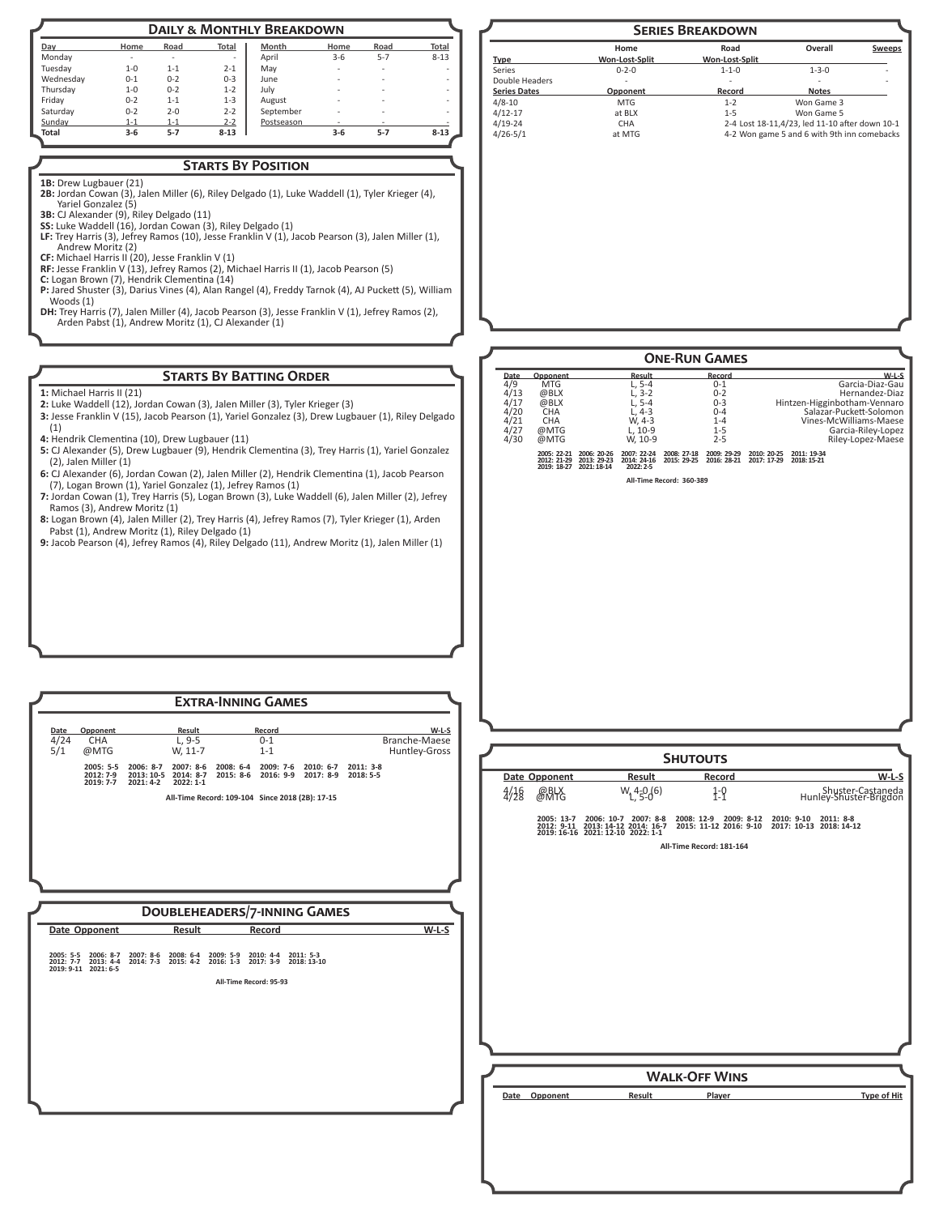| <b>DAILY &amp; MONTHLY BREAKDOWN</b> |         |         |              |            |                          |         |                          |
|--------------------------------------|---------|---------|--------------|------------|--------------------------|---------|--------------------------|
| Day                                  | Home    | Road    | <b>Total</b> | Month      | Home                     | Road    | <b>Total</b>             |
| Monday                               | ٠       | ٠       | ٠            | April      | $3 - 6$                  | $5 - 7$ | $8 - 13$                 |
| Tuesdav                              | $1 - 0$ | $1 - 1$ | $2 - 1$      | May        | ٠                        | ٠       |                          |
| Wednesdav                            | $0 - 1$ | $0 - 2$ | $0 - 3$      | June       | $\overline{\phantom{a}}$ | ۰       | ۰                        |
| Thursday                             | $1 - 0$ | $0 - 2$ | $1 - 2$      | July       | ۰                        |         | ۰                        |
| Fridav                               | $0 - 2$ | $1 - 1$ | $1 - 3$      | August     | ٠                        |         | $\overline{\phantom{a}}$ |
| Saturdav                             | $0 - 2$ | $2 - 0$ | $2 - 2$      | September  | ٠                        | -       | ۰                        |
| Sunday                               | $1 - 1$ | $1 - 1$ | $2 - 2$      | Postseason |                          | ۰       |                          |
| Total                                | $3-6$   | $5 - 7$ | $8 - 13$     |            | $3-6$                    | $5 - 7$ | $8 - 13$                 |

## **Starts By Position**

- 1B: Drew Lugbauer (21) **2B:** Jordan Cowan (3), Jalen Miller (6), Riley Delgado (1), Luke Waddell (1), Tyler Krieger (4),
- Yariel Gonzalez (5) **3B:** CJ Alexander (9), Riley Delgado (11)
- **SS:** Luke Waddell (16), Jordan Cowan (3), Riley Delgado (1)
- **LF:** Trey Harris (3), Jefrey Ramos (10), Jesse Franklin V (1), Jacob Pearson (3), Jalen Miller (1), Andrew Moritz (2)
- **CF:** Michael Harris II (20), Jesse Franklin V (1)
- **RF:** Jesse Franklin V (13), Jefrey Ramos (2), Michael Harris II (1), Jacob Pearson (5) **C:** Logan Brown (7), Hendrik Clementina (14)
- **P:** Jared Shuster (3), Darius Vines (4), Alan Rangel (4), Freddy Tarnok (4), AJ Puckett (5), William Woods (1)
- **DH:** Trey Harris (7), Jalen Miller (4), Jacob Pearson (3), Jesse Franklin V (1), Jefrey Ramos (2), Arden Pabst (1), Andrew Moritz (1), CJ Alexander (1)

## **Starts By Batting Order**

**1:** Michael Harris II (21)

- **2:** Luke Waddell (12), Jordan Cowan (3), Jalen Miller (3), Tyler Krieger (3)
- **3:** Jesse Franklin V (15), Jacob Pearson (1), Yariel Gonzalez (3), Drew Lugbauer (1), Riley Delgado (1)
- **4:** Hendrik Clementina (10), Drew Lugbauer (11)

**2019: 7-7 2021: 4-2 2022: 1-1**

- **5:** CJ Alexander (5), Drew Lugbauer (9), Hendrik Clementina (3), Trey Harris (1), Yariel Gonzalez (2), Jalen Miller (1)
- **6:** CJ Alexander (6), Jordan Cowan (2), Jalen Miller (2), Hendrik Clementina (1), Jacob Pearson (7), Logan Brown (1), Yariel Gonzalez (1), Jefrey Ramos (1)
- **7:** Jordan Cowan (1), Trey Harris (5), Logan Brown (3), Luke Waddell (6), Jalen Miller (2), Jefrey Ramos (3), Andrew Moritz (1)
- **8:** Logan Brown (4), Jalen Miller (2), Trey Harris (4), Jefrey Ramos (7), Tyler Krieger (1), Arden Pabst (1), Andrew Moritz (1), Riley Delgado (1)
- **9:** Jacob Pearson (4), Jefrey Ramos (4), Riley Delgado (11), Andrew Moritz (1), Jalen Miller (1)

**Doubleheaders/7-inning Games Date Opponent Result Record W-L-S**

**Date Opponent Result Record W-L-S** 4/24 CHA L, 9-5 0-1 Branche-Maese<br>
5/1 @MTG W, 11-7 1-1 Huntley-Gross

**Extra-Inning Games**

**All-Time Record: 109-104 Since 2018 (2B): 17-15**

**2005: 5-5 2006: 8-7 2007: 8-6 2008: 6-4 2009: 7-6 2010: 6-7 2011: 3-8 2012: 7-9 2013: 10-5 2014: 8-7 2015: 8-6 2016: 9-9 2017: 8-9 2018: 5-5**

**All-Time Record: 95-93**

**2005: 5-5 2006: 8-7 2007: 8-6 2008: 6-4 2009: 5-9 2010: 4-4 2011: 5-3 2012: 7-7 2013: 4-4 2014: 7-3 2015: 4-2 2016: 1-3 2017: 3-9 2018: 13-10 2019: 9-11 2021: 6-5**



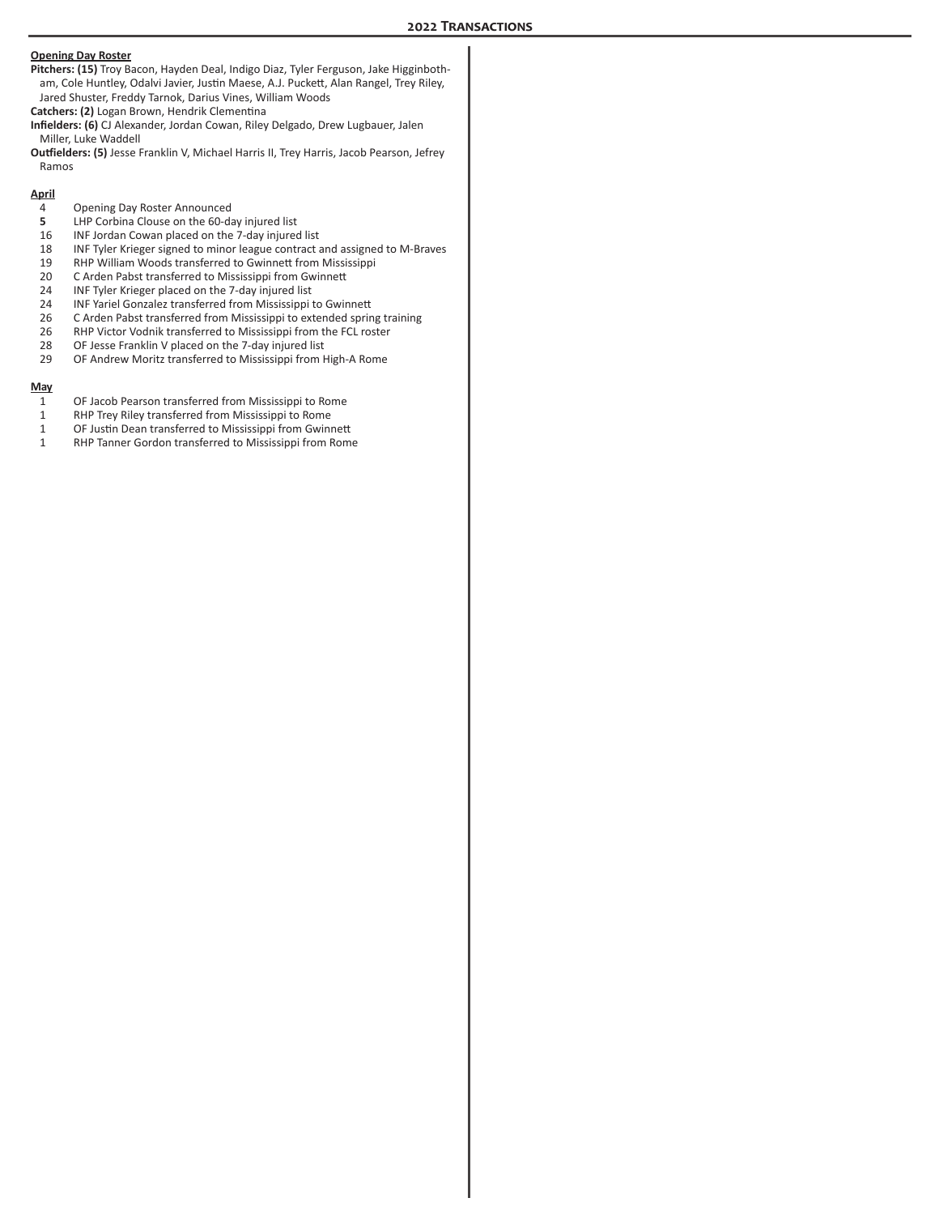#### **Opening Day Roster**

- **Pitchers: (15)** Troy Bacon, Hayden Deal, Indigo Diaz, Tyler Ferguson, Jake Higginbotham, Cole Huntley, Odalvi Javier, Justin Maese, A.J. Puckett, Alan Rangel, Trey Riley, Jared Shuster, Freddy Tarnok, Darius Vines, William Woods
- **Catchers: (2)** Logan Brown, Hendrik Clementina
- **Infielders: (6)** CJ Alexander, Jordan Cowan, Riley Delgado, Drew Lugbauer, Jalen Miller, Luke Waddell
- **Outfielders: (5)** Jesse Franklin V, Michael Harris II, Trey Harris, Jacob Pearson, Jefrey Ramos

#### **April**

- 4 Opening Day Roster Announced<br>5 LHP Corbina Clouse on the 60-da
- **5** LHP Corbina Clouse on the 60-day injured list<br>16 INF Jordan Cowan placed on the 7-day injured
- 16 INF Jordan Cowan placed on the 7-day injured list
- 18 INF Tyler Krieger signed to minor league contract and assigned to M-Braves
- 19 RHP William Woods transferred to Gwinnett from Mississippi<br>20 C Arden Pabst transferred to Mississippi from Gwinnett
- C Arden Pabst transferred to Mississippi from Gwinnett
- 24 INF Tyler Krieger placed on the 7-day injured list<br>24 INF Yariel Gonzalez transferred from Mississippi
- 24 INF Yariel Gonzalez transferred from Mississippi to Gwinnett<br>26 C Arden Pabst transferred from Mississippi to extended sprin
- 26 C Arden Pabst transferred from Mississippi to extended spring training<br>26 RHP Victor Vodnik transferred to Mississippi from the FCL roster
- 26 RHP Victor Vodnik transferred to Mississippi from the FCL roster<br>28 OF Jesse Franklin V placed on the 7-day injured list
- OF Jesse Franklin V placed on the 7-day injured list
- 29 OF Andrew Moritz transferred to Mississippi from High-A Rome

#### **May**

- 1 OF Jacob Pearson transferred from Mississippi to Rome
- 1 RHP Trey Riley transferred from Mississippi to Rome<br>1 OF Justin Dean transferred to Mississippi from Gwinn
- OF Justin Dean transferred to Mississippi from Gwinnett
- 1 RHP Tanner Gordon transferred to Mississippi from Rome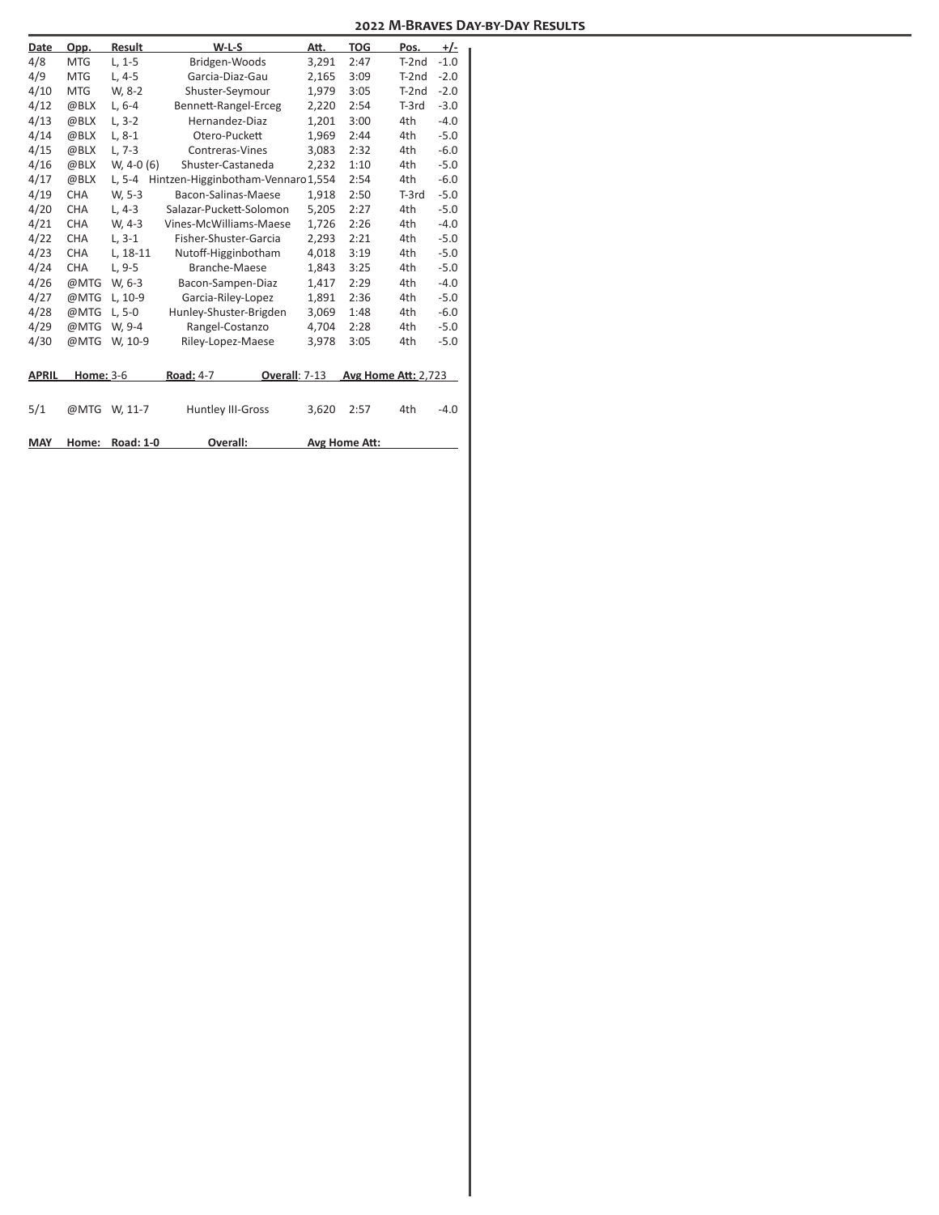| <b>Date</b>  | Opp.             | Result           | $W-L-S$                           | Att.  | <b>TOG</b>                 | Pos.    | +/-    |
|--------------|------------------|------------------|-----------------------------------|-------|----------------------------|---------|--------|
| 4/8          | <b>MTG</b>       | $L. 1 - 5$       | Bridgen-Woods                     | 3,291 | 2:47                       | $T-2nd$ | $-1.0$ |
| 4/9          | <b>MTG</b>       | $L, 4-5$         | Garcia-Diaz-Gau                   | 2,165 | 3:09                       | $T-2nd$ | $-2.0$ |
| 4/10         | <b>MTG</b>       | W, 8-2           | Shuster-Seymour                   | 1,979 | 3:05                       | $T-2nd$ | $-2.0$ |
| 4/12         | @BLX             | $L, 6-4$         | Bennett-Rangel-Erceg              | 2,220 | 2:54                       | $T-3rd$ | $-3.0$ |
| 4/13         | @BLX             | $L, 3-2$         | Hernandez-Diaz                    | 1,201 | 3:00                       | 4th     | $-4.0$ |
| 4/14         | @BLX             | $L, 8-1$         | Otero-Puckett                     | 1.969 | 2:44                       | 4th     | $-5.0$ |
| 4/15         | @BLX             | $L, 7-3$         | Contreras-Vines                   | 3,083 | 2:32                       | 4th     | $-6.0$ |
| 4/16         | @BLX             | $W, 4-0(6)$      | Shuster-Castaneda                 | 2,232 | 1:10                       | 4th     | $-5.0$ |
| 4/17         | @BLX             | $L, 5-4$         | Hintzen-Higginbotham-Vennaro1,554 |       | 2:54                       | 4th     | $-6.0$ |
| 4/19         | CHA              | W, 5-3           | Bacon-Salinas-Maese               | 1.918 | 2:50                       | $T-3rd$ | $-5.0$ |
| 4/20         | <b>CHA</b>       | $L.4-3$          | Salazar-Puckett-Solomon           | 5,205 | 2:27                       | 4th     | $-5.0$ |
| 4/21         | <b>CHA</b>       | W, 4-3           | Vines-McWilliams-Maese            | 1,726 | 2:26                       | 4th     | $-4.0$ |
| 4/22         | <b>CHA</b>       | $L.3-1$          | Fisher-Shuster-Garcia             | 2,293 | 2:21                       | 4th     | $-5.0$ |
| 4/23         | <b>CHA</b>       | L, 18-11         | Nutoff-Higginbotham               | 4,018 | 3:19                       | 4th     | $-5.0$ |
| 4/24         | <b>CHA</b>       | $L, 9-5$         | Branche-Maese                     | 1,843 | 3:25                       | 4th     | $-5.0$ |
| 4/26         | @MTG             | W, 6-3           | Bacon-Sampen-Diaz                 | 1,417 | 2:29                       | 4th     | $-4.0$ |
| 4/27         | @MTG             | L, 10-9          | Garcia-Riley-Lopez                | 1,891 | 2:36                       | 4th     | $-5.0$ |
| 4/28         | @MTG             | $L.5 - 0$        | Hunley-Shuster-Brigden            | 3,069 | 1:48                       | 4th     | $-6.0$ |
| 4/29         | @MTG             | W. 9-4           | Rangel-Costanzo                   | 4,704 | 2:28                       | 4th     | $-5.0$ |
| 4/30         | @MTG             | W, 10-9          | Riley-Lopez-Maese                 | 3,978 | 3:05                       | 4th     | $-5.0$ |
|              |                  |                  |                                   |       |                            |         |        |
| <b>APRIL</b> | <b>Home: 3-6</b> |                  | Overall: 7-13<br>Road: 4-7        |       | <b>Avg Home Att: 2,723</b> |         |        |
|              |                  |                  |                                   |       |                            |         |        |
| 5/1          | @MTG             | W, 11-7          | Huntley III-Gross                 | 3,620 | 2:57                       | 4th     | $-4.0$ |
|              |                  |                  |                                   |       |                            |         |        |
| <b>MAY</b>   | Home:            | <b>Road: 1-0</b> | Overall:                          |       | Avg Home Att:              |         |        |